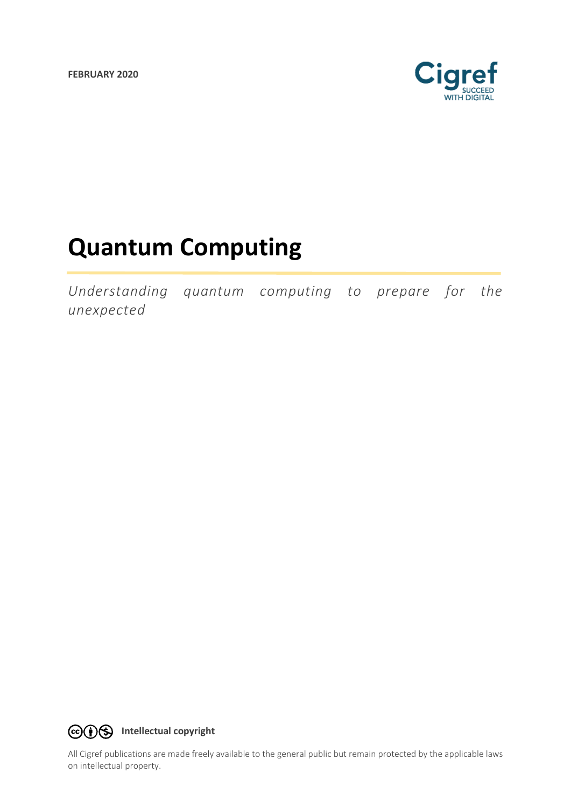**FEBRUARY 2020**



# **Quantum Computing**

*Understanding quantum computing to prepare for the unexpected*



All Cigref publications are made freely available to the general public but remain protected by the applicable laws on intellectual property.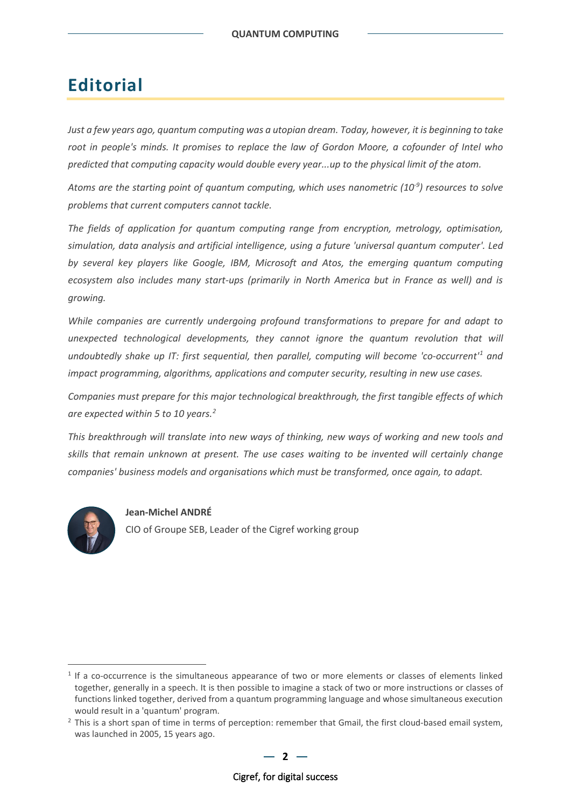# **Editorial**

*Just a few years ago, quantum computing was a utopian dream. Today, however, it is beginning to take root in people's minds. It promises to replace the law of Gordon Moore, a cofounder of Intel who predicted that computing capacity would double every year...up to the physical limit of the atom.*

Atoms are the starting point of quantum computing, which uses nanometric (10<sup>-9</sup>) resources to solve *problems that current computers cannot tackle.*

*The fields of application for quantum computing range from encryption, metrology, optimisation, simulation, data analysis and artificial intelligence, using a future 'universal quantum computer'. Led by several key players like Google, IBM, Microsoft and Atos, the emerging quantum computing ecosystem also includes many start-ups (primarily in North America but in France as well) and is growing.*

*While companies are currently undergoing profound transformations to prepare for and adapt to unexpected technological developments, they cannot ignore the quantum revolution that will undoubtedly shake up IT: first sequential, then parallel, computing will become 'co-occurrent['1](#page-1-0) and impact programming, algorithms, applications and computer security, resulting in new use cases.* 

*Companies must prepare for this major technological breakthrough, the first tangible effects of which are expected within 5 to 10 years.[2](#page-1-1)*

*This breakthrough will translate into new ways of thinking, new ways of working and new tools and skills that remain unknown at present. The use cases waiting to be invented will certainly change companies' business models and organisations which must be transformed, once again, to adapt.* 



### **Jean-Michel ANDRÉ**

CIO of Groupe SEB, Leader of the Cigref working group

<span id="page-1-0"></span> $1$  If a co-occurrence is the simultaneous appearance of two or more elements or classes of elements linked together, generally in a speech. It is then possible to imagine a stack of two or more instructions or classes of functions linked together, derived from a quantum programming language and whose simultaneous execution would result in a 'quantum' program.

<span id="page-1-1"></span><sup>&</sup>lt;sup>2</sup> This is a short span of time in terms of perception: remember that Gmail, the first cloud-based email system, was launched in 2005, 15 years ago.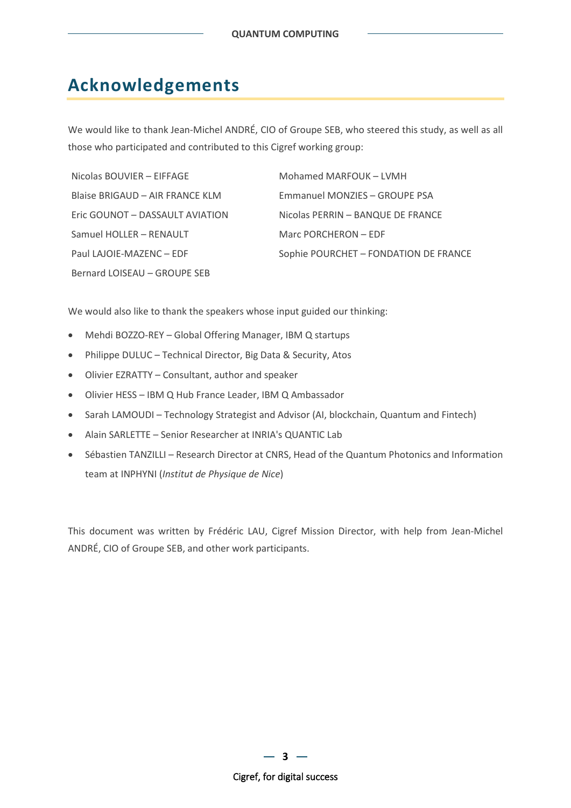# **Acknowledgements**

We would like to thank Jean-Michel ANDRÉ, CIO of Groupe SEB, who steered this study, as well as all those who participated and contributed to this Cigref working group:

| Nicolas BOUVIER - EIFFAGE       | Mohamed MARFOUK - LVMH                |
|---------------------------------|---------------------------------------|
| Blaise BRIGAUD - AIR FRANCE KLM | Emmanuel MONZIES - GROUPE PSA         |
| Eric GOUNOT - DASSAULT AVIATION | Nicolas PERRIN - BANQUE DE FRANCE     |
| Samuel HOLLER - RENAULT         | Marc PORCHERON - EDF                  |
| Paul LAJOIE-MAZENC - EDF        | Sophie POURCHET - FONDATION DE FRANCE |
| Bernard LOISEAU - GROUPE SEB    |                                       |

We would also like to thank the speakers whose input guided our thinking:

- Mehdi BOZZO-REY Global Offering Manager, IBM Q startups
- Philippe DULUC Technical Director, Big Data & Security, Atos
- Olivier EZRATTY Consultant, author and speaker
- Olivier HESS IBM Q Hub France Leader, IBM Q Ambassador
- Sarah LAMOUDI Technology Strategist and Advisor (AI, blockchain, Quantum and Fintech)
- Alain SARLETTE Senior Researcher at INRIA's QUANTIC Lab
- Sébastien TANZILLI Research Director at CNRS, Head of the Quantum Photonics and Information team at INPHYNI (*Institut de Physique de Nice*)

This document was written by Frédéric LAU, Cigref Mission Director, with help from Jean-Michel ANDRÉ, CIO of Groupe SEB, and other work participants.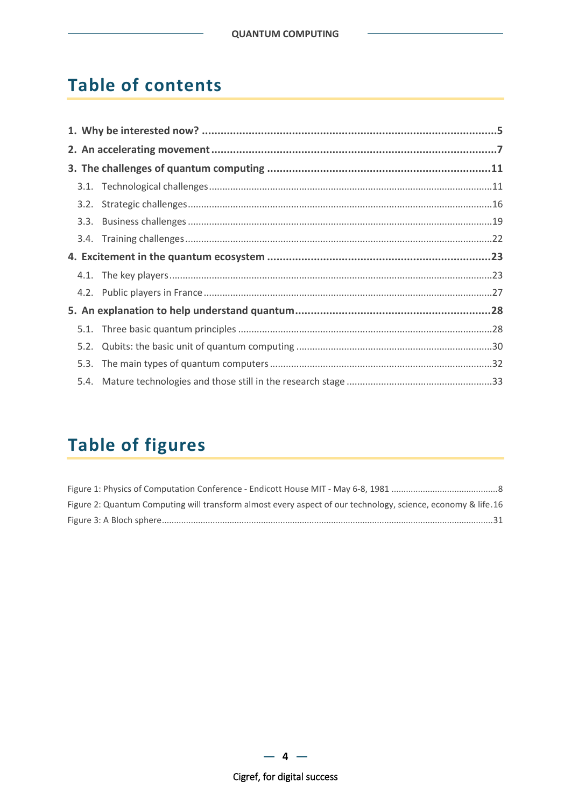# **Table of contents**

# **Table of figures**

| Figure 2: Quantum Computing will transform almost every aspect of our technology, science, economy & life.16 |  |
|--------------------------------------------------------------------------------------------------------------|--|
|                                                                                                              |  |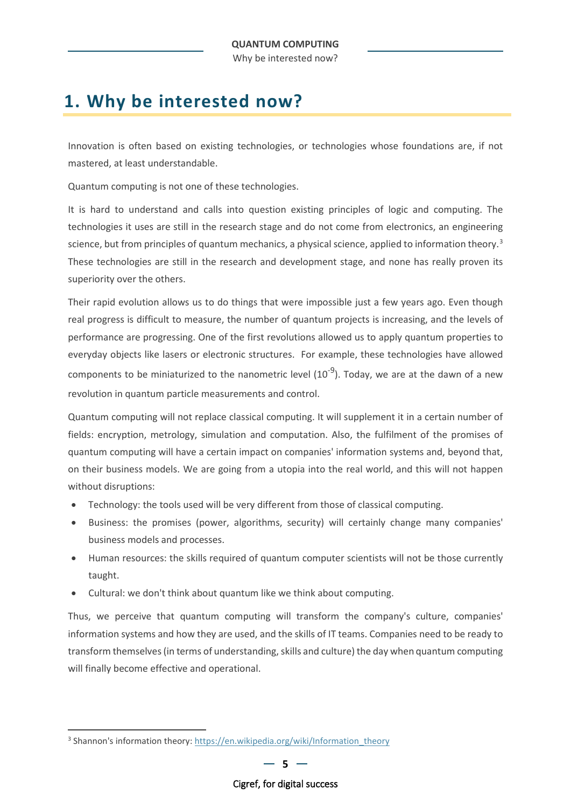# <span id="page-4-0"></span>**1. Why be interested now?**

Innovation is often based on existing technologies, or technologies whose foundations are, if not mastered, at least understandable.

Quantum computing is not one of these technologies.

It is hard to understand and calls into question existing principles of logic and computing. The technologies it uses are still in the research stage and do not come from electronics, an engineering science, but from principles of quantum mechanics, a physical science, applied to information theory.<sup>[3](#page-4-1)</sup> These technologies are still in the research and development stage, and none has really proven its superiority over the others.

Their rapid evolution allows us to do things that were impossible just a few years ago. Even though real progress is difficult to measure, the number of quantum projects is increasing, and the levels of performance are progressing. One of the first revolutions allowed us to apply quantum properties to everyday objects like lasers or electronic structures. For example, these technologies have allowed components to be miniaturized to the nanometric level  $(10^{-9})$ . Today, we are at the dawn of a new revolution in quantum particle measurements and control.

Quantum computing will not replace classical computing. It will supplement it in a certain number of fields: encryption, metrology, simulation and computation. Also, the fulfilment of the promises of quantum computing will have a certain impact on companies' information systems and, beyond that, on their business models. We are going from a utopia into the real world, and this will not happen without disruptions:

- Technology: the tools used will be very different from those of classical computing.
- Business: the promises (power, algorithms, security) will certainly change many companies' business models and processes.
- Human resources: the skills required of quantum computer scientists will not be those currently taught.
- Cultural: we don't think about quantum like we think about computing.

Thus, we perceive that quantum computing will transform the company's culture, companies' information systems and how they are used, and the skills of IT teams. Companies need to be ready to transform themselves (in terms of understanding, skills and culture) the day when quantum computing will finally become effective and operational.

<span id="page-4-1"></span><sup>&</sup>lt;sup>3</sup> Shannon's information theory: [https://en.wikipedia.org/wiki/Information\\_theory](https://en.wikipedia.org/wiki/Information_theory)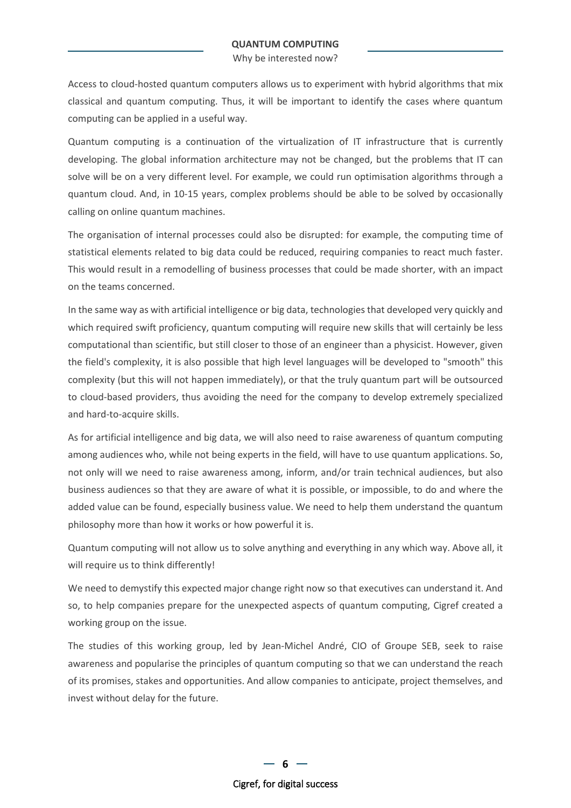Why be interested now?

Access to cloud-hosted quantum computers allows us to experiment with hybrid algorithms that mix classical and quantum computing. Thus, it will be important to identify the cases where quantum computing can be applied in a useful way.

Quantum computing is a continuation of the virtualization of IT infrastructure that is currently developing. The global information architecture may not be changed, but the problems that IT can solve will be on a very different level. For example, we could run optimisation algorithms through a quantum cloud. And, in 10-15 years, complex problems should be able to be solved by occasionally calling on online quantum machines.

The organisation of internal processes could also be disrupted: for example, the computing time of statistical elements related to big data could be reduced, requiring companies to react much faster. This would result in a remodelling of business processes that could be made shorter, with an impact on the teams concerned.

In the same way as with artificial intelligence or big data, technologies that developed very quickly and which required swift proficiency, quantum computing will require new skills that will certainly be less computational than scientific, but still closer to those of an engineer than a physicist. However, given the field's complexity, it is also possible that high level languages will be developed to "smooth" this complexity (but this will not happen immediately), or that the truly quantum part will be outsourced to cloud-based providers, thus avoiding the need for the company to develop extremely specialized and hard-to-acquire skills.

As for artificial intelligence and big data, we will also need to raise awareness of quantum computing among audiences who, while not being experts in the field, will have to use quantum applications. So, not only will we need to raise awareness among, inform, and/or train technical audiences, but also business audiences so that they are aware of what it is possible, or impossible, to do and where the added value can be found, especially business value. We need to help them understand the quantum philosophy more than how it works or how powerful it is.

Quantum computing will not allow us to solve anything and everything in any which way. Above all, it will require us to think differently!

We need to demystify this expected major change right now so that executives can understand it. And so, to help companies prepare for the unexpected aspects of quantum computing, Cigref created a working group on the issue.

The studies of this working group, led by Jean-Michel André, CIO of Groupe SEB, seek to raise awareness and popularise the principles of quantum computing so that we can understand the reach of its promises, stakes and opportunities. And allow companies to anticipate, project themselves, and invest without delay for the future.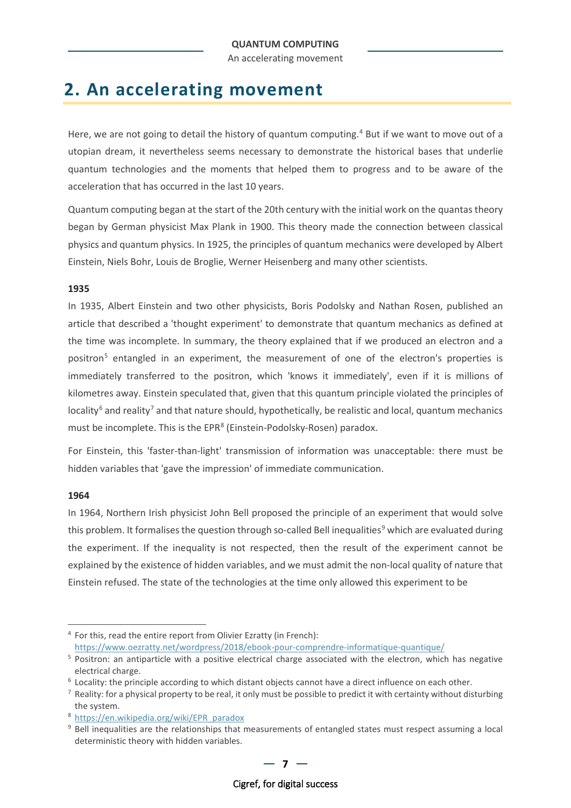An accelerating movement

# <span id="page-6-0"></span>**2. An accelerating movement**

Here, we are not going to detail the history of quantum computing.<sup>[4](#page-6-1)</sup> But if we want to move out of a utopian dream, it nevertheless seems necessary to demonstrate the historical bases that underlie quantum technologies and the moments that helped them to progress and to be aware of the acceleration that has occurred in the last 10 years.

Quantum computing began at the start of the 20th century with the initial work on the quantas theory began by German physicist Max Plank in 1900. This theory made the connection between classical physics and quantum physics. In 1925, the principles of quantum mechanics were developed by Albert Einstein, Niels Bohr, Louis de Broglie, Werner Heisenberg and many other scientists.

### **1935**

In 1935, Albert Einstein and two other physicists, Boris Podolsky and Nathan Rosen, published an article that described a 'thought experiment' to demonstrate that quantum mechanics as defined at the time was incomplete. In summary, the theory explained that if we produced an electron and a positron<sup>[5](#page-6-2)</sup> entangled in an experiment, the measurement of one of the electron's properties is immediately transferred to the positron, which 'knows it immediately', even if it is millions of kilometres away. Einstein speculated that, given that this quantum principle violated the principles of  $locality<sup>6</sup>$  $locality<sup>6</sup>$  $locality<sup>6</sup>$  and reality<sup>[7](#page-6-4)</sup> and that nature should, hypothetically, be realistic and local, quantum mechanics must be incomplete. This is the EPR<sup>[8](#page-6-5)</sup> (Einstein-Podolsky-Rosen) paradox.

For Einstein, this 'faster-than-light' transmission of information was unacceptable: there must be hidden variables that 'gave the impression' of immediate communication.

### **1964**

In 1964, Northern Irish physicist John Bell proposed the principle of an experiment that would solve this problem. It formalises the question through so-called Bell inequalities<sup>[9](#page-6-6)</sup> which are evaluated during the experiment. If the inequality is not respected, then the result of the experiment cannot be explained by the existence of hidden variables, and we must admit the non-local quality of nature that Einstein refused. The state of the technologies at the time only allowed this experiment to be

<span id="page-6-1"></span> $4$  For this, read the entire report from Olivier Ezratty (in French): <https://www.oezratty.net/wordpress/2018/ebook-pour-comprendre-informatique-quantique/>

<span id="page-6-2"></span><sup>5</sup> Positron: an antiparticle with a positive electrical charge associated with the electron, which has negative electrical charge.

<span id="page-6-3"></span><sup>6</sup> Locality: the principle according to which distant objects cannot have a direct influence on each other.

<span id="page-6-4"></span> $^7$  Reality: for a physical property to be real, it only must be possible to predict it with certainty without disturbing the system.

<span id="page-6-6"></span><span id="page-6-5"></span><sup>&</sup>lt;sup>8</sup> [https://en.wikipedia.org/wiki/EPR\\_paradox](https://en.wikipedia.org/wiki/EPR_paradox) **9** Bell inequalities are the relationships that measurements of entangled states must respect assuming a local deterministic theory with hidden variables.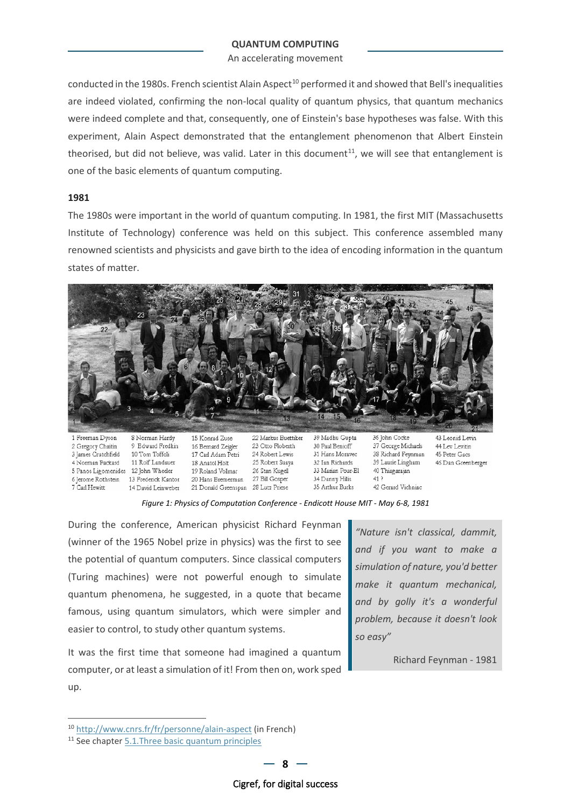An accelerating movement

conducted in the 1980s. French scientist Alain Aspect<sup>[10](#page-7-1)</sup> performed it and showed that Bell's inequalities are indeed violated, confirming the non-local quality of quantum physics, that quantum mechanics were indeed complete and that, consequently, one of Einstein's base hypotheses was false. With this experiment, Alain Aspect demonstrated that the entanglement phenomenon that Albert Einstein theorised, but did not believe, was valid. Later in this document<sup>[11](#page-7-2)</sup>, we will see that entanglement is one of the basic elements of quantum computing.

### **1981**

The 1980s were important in the world of quantum computing. In 1981, the first MIT (Massachusetts Institute of Technology) conference was held on this subject. This conference assembled many renowned scientists and physicists and gave birth to the idea of encoding information in the quantum states of matter.



*Figure 1: Physics of Computation Conference - Endicott House MIT - May 6-8, 1981*

During the conference, American physicist Richard Feynman (winner of the 1965 Nobel prize in physics) was the first to see the potential of quantum computers. Since classical computers (Turing machines) were not powerful enough to simulate quantum phenomena, he suggested, in a quote that became famous, using quantum simulators, which were simpler and easier to control, to study other quantum systems.

It was the first time that someone had imagined a quantum computer, or at least a simulation of it! From then on, work sped up.

<span id="page-7-0"></span>*"Nature isn't classical, dammit, and if you want to make a simulation of nature, you'd better make it quantum mechanical, and by golly it's a wonderful problem, because it doesn't look so easy"*

Richard Feynman - 1981

<span id="page-7-1"></span><sup>10</sup> <http://www.cnrs.fr/fr/personne/alain-aspect> (in French)

<span id="page-7-2"></span><sup>&</sup>lt;sup>11</sup> See chapter 5.1. Three basic quantum principles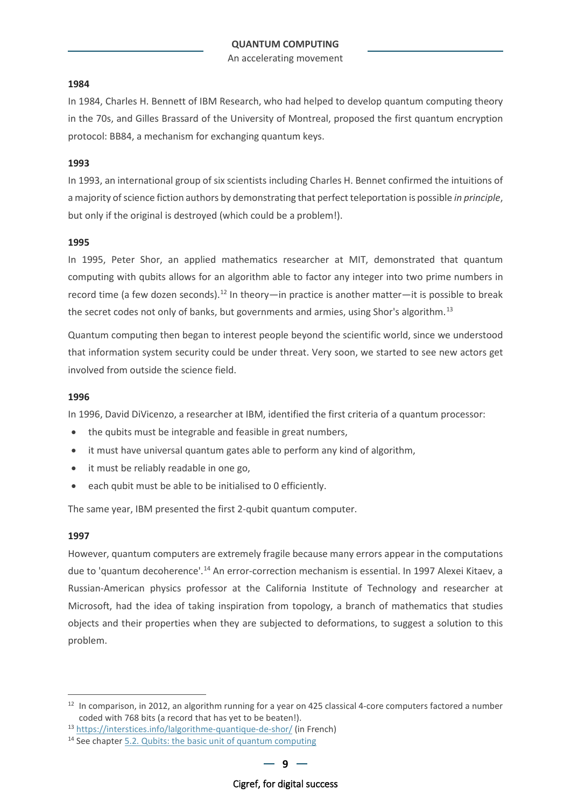An accelerating movement

### **1984**

In 1984, Charles H. Bennett of IBM Research, who had helped to develop quantum computing theory in the 70s, and Gilles Brassard of the University of Montreal, proposed the first quantum encryption protocol: BB84, a mechanism for exchanging quantum keys.

### **1993**

In 1993, an international group of six scientists including Charles H. Bennet confirmed the intuitions of a majority of science fiction authors by demonstrating that perfect teleportation is possible *in principle*, but only if the original is destroyed (which could be a problem!).

#### **1995**

In 1995, Peter Shor, an applied mathematics researcher at MIT, demonstrated that quantum computing with qubits allows for an algorithm able to factor any integer into two prime numbers in record time (a few dozen seconds).<sup>[12](#page-8-0)</sup> In theory—in practice is another matter—it is possible to break the secret codes not only of banks, but governments and armies, using Shor's algorithm.<sup>[13](#page-8-1)</sup>

Quantum computing then began to interest people beyond the scientific world, since we understood that information system security could be under threat. Very soon, we started to see new actors get involved from outside the science field.

### **1996**

In 1996, David DiVicenzo, a researcher at IBM, identified the first criteria of a quantum processor:

- the qubits must be integrable and feasible in great numbers,
- it must have universal quantum gates able to perform any kind of algorithm,
- it must be reliably readable in one go,
- each qubit must be able to be initialised to 0 efficiently.

The same year, IBM presented the first 2-qubit quantum computer.

#### **1997**

However, quantum computers are extremely fragile because many errors appear in the computations due to 'quantum decoherence'.<sup>[14](#page-8-2)</sup> An error-correction mechanism is essential. In 1997 Alexei Kitaev, a Russian-American physics professor at the California Institute of Technology and researcher at Microsoft, had the idea of taking inspiration from topology, a branch of mathematics that studies objects and their properties when they are subjected to deformations, to suggest a solution to this problem.

<span id="page-8-0"></span><sup>&</sup>lt;sup>12</sup> In comparison, in 2012, an algorithm running for a year on 425 classical 4-core computers factored a number coded with 768 bits (a record that has yet to be beaten!).

<span id="page-8-1"></span><sup>13</sup> <https://interstices.info/lalgorithme-quantique-de-shor/> (in French)

<span id="page-8-2"></span><sup>&</sup>lt;sup>14</sup> See chapter [5.2.](#page-29-0) [Qubits: the basic unit of quantum computing](#page-29-0)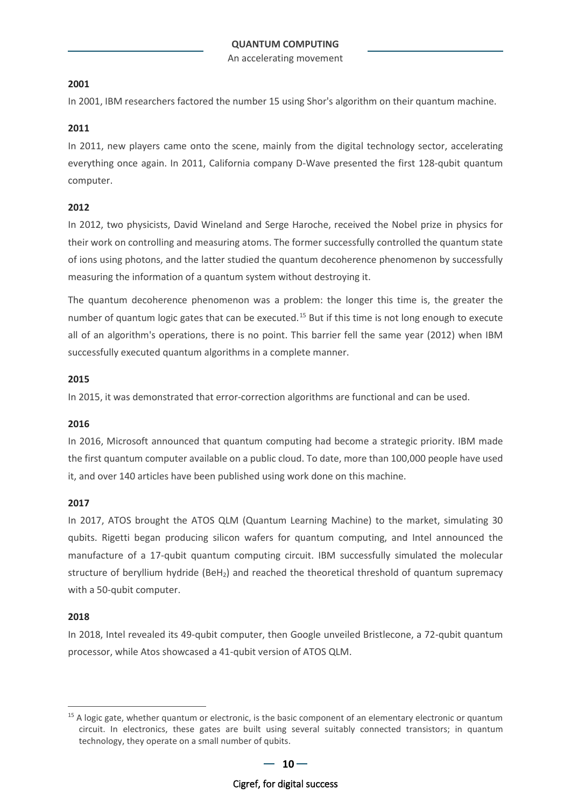An accelerating movement

### **2001**

In 2001, IBM researchers factored the number 15 using Shor's algorithm on their quantum machine.

### **2011**

In 2011, new players came onto the scene, mainly from the digital technology sector, accelerating everything once again. In 2011, California company D-Wave presented the first 128-qubit quantum computer.

### **2012**

In 2012, two physicists, David Wineland and Serge Haroche, received the Nobel prize in physics for their work on controlling and measuring atoms. The former successfully controlled the quantum state of ions using photons, and the latter studied the quantum decoherence phenomenon by successfully measuring the information of a quantum system without destroying it.

The quantum decoherence phenomenon was a problem: the longer this time is, the greater the number of quantum logic gates that can be executed.<sup>[15](#page-9-0)</sup> But if this time is not long enough to execute all of an algorithm's operations, there is no point. This barrier fell the same year (2012) when IBM successfully executed quantum algorithms in a complete manner.

### **2015**

In 2015, it was demonstrated that error-correction algorithms are functional and can be used.

### **2016**

In 2016, Microsoft announced that quantum computing had become a strategic priority. IBM made the first quantum computer available on a public cloud. To date, more than 100,000 people have used it, and over 140 articles have been published using work done on this machine.

### **2017**

In 2017, ATOS brought the ATOS QLM (Quantum Learning Machine) to the market, simulating 30 qubits. Rigetti began producing silicon wafers for quantum computing, and Intel announced the manufacture of a 17-qubit quantum computing circuit. IBM successfully simulated the molecular structure of beryllium hydride ( $BeH<sub>2</sub>$ ) and reached the theoretical threshold of quantum supremacy with a 50-qubit computer.

### **2018**

In 2018, Intel revealed its 49-qubit computer, then Google unveiled Bristlecone, a 72-qubit quantum processor, while Atos showcased a 41-qubit version of ATOS QLM.

<span id="page-9-0"></span> $15$  A logic gate, whether quantum or electronic, is the basic component of an elementary electronic or quantum circuit. In electronics, these gates are built using several suitably connected transistors; in quantum technology, they operate on a small number of qubits.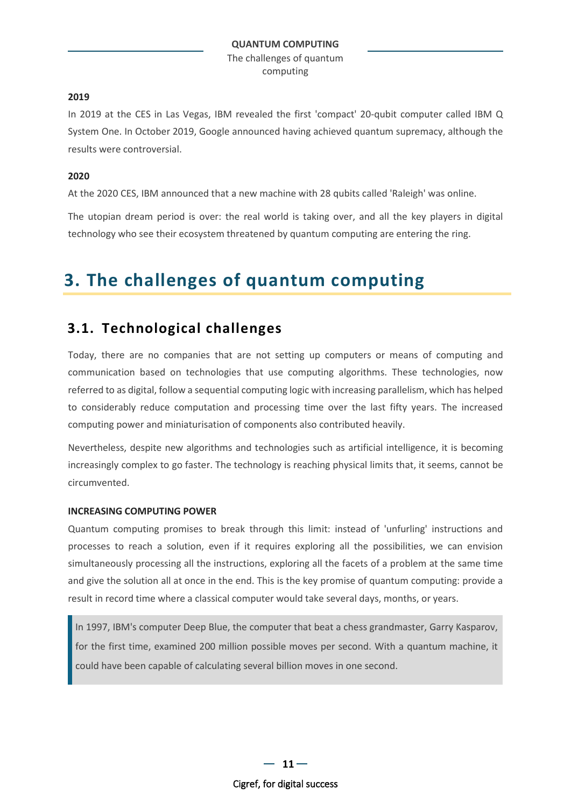### **2019**

In 2019 at the CES in Las Vegas, IBM revealed the first 'compact' 20-qubit computer called IBM Q System One. In October 2019, Google announced having achieved quantum supremacy, although the results were controversial.

### **2020**

At the 2020 CES, IBM announced that a new machine with 28 qubits called 'Raleigh' was online.

The utopian dream period is over: the real world is taking over, and all the key players in digital technology who see their ecosystem threatened by quantum computing are entering the ring.

# <span id="page-10-0"></span>**3. The challenges of quantum computing**

### <span id="page-10-1"></span>**3.1. Technological challenges**

Today, there are no companies that are not setting up computers or means of computing and communication based on technologies that use computing algorithms. These technologies, now referred to as digital, follow a sequential computing logic with increasing parallelism, which has helped to considerably reduce computation and processing time over the last fifty years. The increased computing power and miniaturisation of components also contributed heavily.

Nevertheless, despite new algorithms and technologies such as artificial intelligence, it is becoming increasingly complex to go faster. The technology is reaching physical limits that, it seems, cannot be circumvented.

### **INCREASING COMPUTING POWER**

Quantum computing promises to break through this limit: instead of 'unfurling' instructions and processes to reach a solution, even if it requires exploring all the possibilities, we can envision simultaneously processing all the instructions, exploring all the facets of a problem at the same time and give the solution all at once in the end. This is the key promise of quantum computing: provide a result in record time where a classical computer would take several days, months, or years.

In 1997, IBM's computer Deep Blue, the computer that beat a chess grandmaster, Garry Kasparov, for the first time, examined 200 million possible moves per second. With a quantum machine, it could have been capable of calculating several billion moves in one second.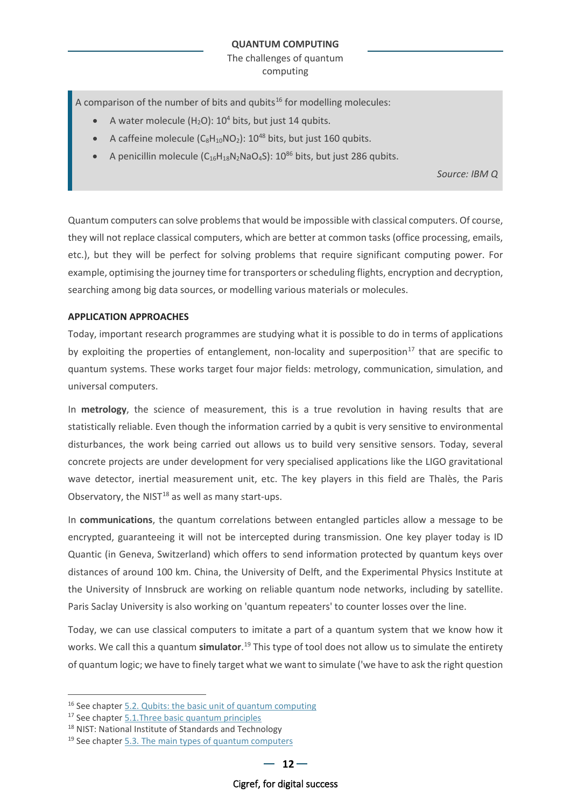A comparison of the number of bits and qubits<sup>[16](#page-11-0)</sup> for modelling molecules:

- A water molecule (H<sub>2</sub>O):  $10^4$  bits, but just 14 qubits.
- A caffeine molecule  $(C_8H_{10}NO_2)$ :  $10^{48}$  bits, but just 160 qubits.
- A penicillin molecule  $(C_{16}H_{18}N_2NaO_4S)$ : 10<sup>86</sup> bits, but just 286 qubits.

*Source: IBM Q*

Quantum computers can solve problems that would be impossible with classical computers. Of course, they will not replace classical computers, which are better at common tasks (office processing, emails, etc.), but they will be perfect for solving problems that require significant computing power. For example, optimising the journey time for transporters or scheduling flights, encryption and decryption, searching among big data sources, or modelling various materials or molecules.

### **APPLICATION APPROACHES**

Today, important research programmes are studying what it is possible to do in terms of applications by exploiting the properties of entanglement, non-locality and superposition<sup>[17](#page-11-1)</sup> that are specific to quantum systems. These works target four major fields: metrology, communication, simulation, and universal computers.

In **metrology**, the science of measurement, this is a true revolution in having results that are statistically reliable. Even though the information carried by a qubit is very sensitive to environmental disturbances, the work being carried out allows us to build very sensitive sensors. Today, several concrete projects are under development for very specialised applications like the LIGO gravitational wave detector, inertial measurement unit, etc. The key players in this field are Thalès, the Paris Observatory, the NIST $^{18}$  $^{18}$  $^{18}$  as well as many start-ups.

In **communications**, the quantum correlations between entangled particles allow a message to be encrypted, guaranteeing it will not be intercepted during transmission. One key player today is ID Quantic (in Geneva, Switzerland) which offers to send information protected by quantum keys over distances of around 100 km. China, the University of Delft, and the Experimental Physics Institute at the University of Innsbruck are working on reliable quantum node networks, including by satellite. Paris Saclay University is also working on 'quantum repeaters' to counter losses over the line.

Today, we can use classical computers to imitate a part of a quantum system that we know how it works. We call this a quantum **simulator**.<sup>[19](#page-11-3)</sup> This type of tool does not allow us to simulate the entirety of quantum logic; we have to finely target what we want to simulate ('we have to ask the right question

<span id="page-11-0"></span><sup>&</sup>lt;sup>16</sup> See chapter [5.2.](#page-29-0) [Qubits: the basic unit of quantum computing](#page-29-0)

<span id="page-11-2"></span><span id="page-11-1"></span><sup>&</sup>lt;sup>17</sup> See chapter [5.1.Three basic quantum principles](#page-27-2) <sup>18</sup> NIST: National Institute of Standards and Technology

<span id="page-11-3"></span> $19$  See chapter [5.3.](#page-31-0) [The main types of quantum computers](#page-31-0)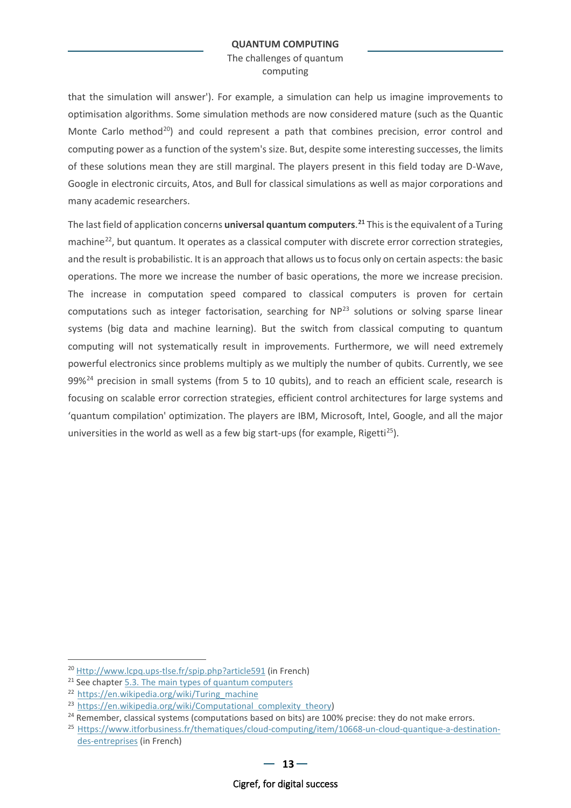The challenges of quantum computing

that the simulation will answer'). For example, a simulation can help us imagine improvements to optimisation algorithms. Some simulation methods are now considered mature (such as the Quantic Monte Carlo method<sup>20</sup>) and could represent a path that combines precision, error control and computing power as a function of the system's size. But, despite some interesting successes, the limits of these solutions mean they are still marginal. The players present in this field today are D-Wave, Google in electronic circuits, Atos, and Bull for classical simulations as well as major corporations and many academic researchers.

The last field of application concerns **universal quantum computers**. **[21](#page-12-1)** This is the equivalent of a Turing machine<sup>22</sup>, but quantum. It operates as a classical computer with discrete error correction strategies, and the result is probabilistic. It is an approach that allows us to focus only on certain aspects: the basic operations. The more we increase the number of basic operations, the more we increase precision. The increase in computation speed compared to classical computers is proven for certain computations such as integer factorisation, searching for  $NP<sup>23</sup>$  $NP<sup>23</sup>$  $NP<sup>23</sup>$  solutions or solving sparse linear systems (big data and machine learning). But the switch from classical computing to quantum computing will not systematically result in improvements. Furthermore, we will need extremely powerful electronics since problems multiply as we multiply the number of qubits. Currently, we see 99%<sup>[24](#page-12-4)</sup> precision in small systems (from 5 to 10 qubits), and to reach an efficient scale, research is focusing on scalable error correction strategies, efficient control architectures for large systems and 'quantum compilation' optimization. The players are IBM, Microsoft, Intel, Google, and all the major universities in the world as well as a few big start-ups (for example, Rigetti<sup>[25](#page-12-5)</sup>).

<span id="page-12-0"></span><sup>20</sup> [Http://www.lcpq.ups-tlse.fr/spip.php?article591](http://www.lcpq.ups-tlse.fr/spip.php?article591) (in French)

<span id="page-12-1"></span> $21$  See chapter [5.3.](#page-31-0) [The main types of quantum computers](#page-31-0)

<span id="page-12-2"></span><sup>22</sup> [https://en.wikipedia.org/wiki/Turing\\_machine](https://en.wikipedia.org/wiki/Turing_machine)

<span id="page-12-3"></span><sup>&</sup>lt;sup>23</sup> [https://en.wikipedia.org/wiki/Computational\\_complexity\\_theory\)](https://en.wikipedia.org/wiki/Computational_complexity_theory)

<span id="page-12-4"></span><sup>&</sup>lt;sup>24</sup> Remember, classical systems (computations based on bits) are 100% precise: they do not make errors.<br><sup>25</sup> [Https://www.itforbusiness.fr/thematiques/cloud-computing/item/10668-un-cloud-quantique-a-destination-](https://www.itforbusiness.fr/thematiques/cloud-computing/item/10668-un-cloud-quantique-a-destination-des-entreprises)

<span id="page-12-5"></span>[des-entreprises](https://www.itforbusiness.fr/thematiques/cloud-computing/item/10668-un-cloud-quantique-a-destination-des-entreprises) (in French)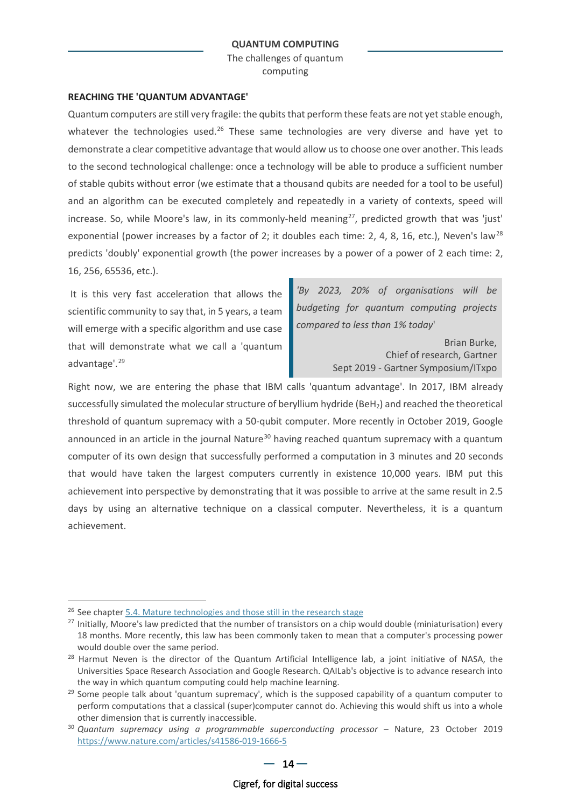The challenges of quantum computing

### **REACHING THE 'QUANTUM ADVANTAGE'**

Quantum computers are still very fragile: the qubits that perform these feats are not yet stable enough, whatever the technologies used.<sup>26</sup> These same technologies are very diverse and have yet to demonstrate a clear competitive advantage that would allow us to choose one over another. This leads to the second technological challenge: once a technology will be able to produce a sufficient number of stable qubits without error (we estimate that a thousand qubits are needed for a tool to be useful) and an algorithm can be executed completely and repeatedly in a variety of contexts, speed will increase. So, while Moore's law, in its commonly-held meaning<sup>[27](#page-13-1)</sup>, predicted growth that was 'just' exponential (power increases by a factor of 2; it doubles each time: 2, 4, 8, 16, etc.), Neven's law<sup>[28](#page-13-2)</sup> predicts 'doubly' exponential growth (the power increases by a power of a power of 2 each time: 2, 16, 256, 65536, etc.).

It is this very fast acceleration that allows the scientific community to say that, in 5 years, a team will emerge with a specific algorithm and use case that will demonstrate what we call a 'quantum advantage'.[29](#page-13-3)

*'By 2023, 20% of organisations will be budgeting for quantum computing projects compared to less than 1% today*'

> Brian Burke, Chief of research, Gartner Sept 2019 - Gartner Symposium/ITxpo

Right now, we are entering the phase that IBM calls 'quantum advantage'. In 2017, IBM already successfully simulated the molecular structure of beryllium hydride (BeH<sub>2</sub>) and reached the theoretical threshold of quantum supremacy with a 50-qubit computer. More recently in October 2019, Google announced in an article in the journal Nature<sup>[30](#page-13-4)</sup> having reached quantum supremacy with a quantum computer of its own design that successfully performed a computation in 3 minutes and 20 seconds that would have taken the largest computers currently in existence 10,000 years. IBM put this achievement into perspective by demonstrating that it was possible to arrive at the same result in 2.5 days by using an alternative technique on a classical computer. Nevertheless, it is a quantum achievement.

<span id="page-13-0"></span><sup>&</sup>lt;sup>26</sup> See chapter [5.4.](#page-31-0) [Mature technologies and those still in the research stage](#page-31-0)

<span id="page-13-1"></span><sup>&</sup>lt;sup>27</sup> Initially, Moore's law predicted that the number of transistors on a chip would double (miniaturisation) every 18 months. More recently, this law has been commonly taken to mean that a computer's processing power would double over the same period.

<span id="page-13-2"></span><sup>&</sup>lt;sup>28</sup> Harmut Neven is the director of the Quantum Artificial Intelligence lab, a joint initiative of NASA, the Universities Space Research Association and Google Research. QAILab's objective is to advance research into

<span id="page-13-3"></span>the way in which quantum computing could help machine learning.<br><sup>29</sup> Some people talk about 'quantum supremacy', which is the supposed capability of a quantum computer to perform computations that a classical (super)computer cannot do. Achieving this would shift us into a whole other dimension that is currently inaccessible.

<span id="page-13-4"></span><sup>30</sup> *Quantum supremacy using a programmable superconducting processor* – Nature, 23 October 2019 <https://www.nature.com/articles/s41586-019-1666-5>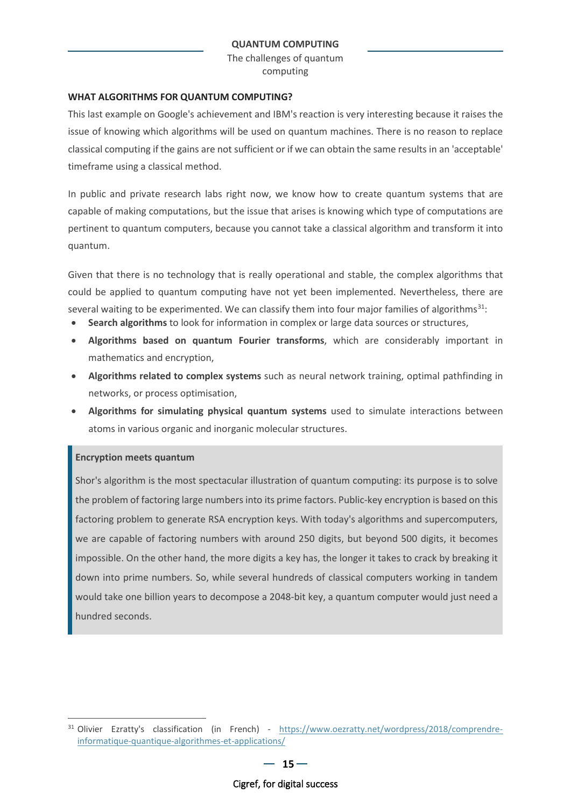The challenges of quantum computing

### **WHAT ALGORITHMS FOR QUANTUM COMPUTING?**

This last example on Google's achievement and IBM's reaction is very interesting because it raises the issue of knowing which algorithms will be used on quantum machines. There is no reason to replace classical computing if the gains are not sufficient or if we can obtain the same results in an 'acceptable' timeframe using a classical method.

In public and private research labs right now, we know how to create quantum systems that are capable of making computations, but the issue that arises is knowing which type of computations are pertinent to quantum computers, because you cannot take a classical algorithm and transform it into quantum.

Given that there is no technology that is really operational and stable, the complex algorithms that could be applied to quantum computing have not yet been implemented. Nevertheless, there are several waiting to be experimented. We can classify them into four major families of algorithms<sup>[31](#page-14-0)</sup>:

- **Search algorithms** to look for information in complex or large data sources or structures,
- **Algorithms based on quantum Fourier transforms**, which are considerably important in mathematics and encryption,
- **Algorithms related to complex systems** such as neural network training, optimal pathfinding in networks, or process optimisation,
- **Algorithms for simulating physical quantum systems** used to simulate interactions between atoms in various organic and inorganic molecular structures.

### **Encryption meets quantum**

Shor's algorithm is the most spectacular illustration of quantum computing: its purpose is to solve the problem of factoring large numbers into its prime factors. Public-key encryption is based on this factoring problem to generate RSA encryption keys. With today's algorithms and supercomputers, we are capable of factoring numbers with around 250 digits, but beyond 500 digits, it becomes impossible. On the other hand, the more digits a key has, the longer it takes to crack by breaking it down into prime numbers. So, while several hundreds of classical computers working in tandem would take one billion years to decompose a 2048-bit key, a quantum computer would just need a hundred seconds.

<span id="page-14-0"></span><sup>31</sup> Olivier Ezratty's classification (in French) - [https://www.oezratty.net/wordpress/2018/comprendre](https://www.oezratty.net/wordpress/2018/comprendre-informatique-quantique-algorithmes-et-applications/)[informatique-quantique-algorithmes-et-applications/](https://www.oezratty.net/wordpress/2018/comprendre-informatique-quantique-algorithmes-et-applications/)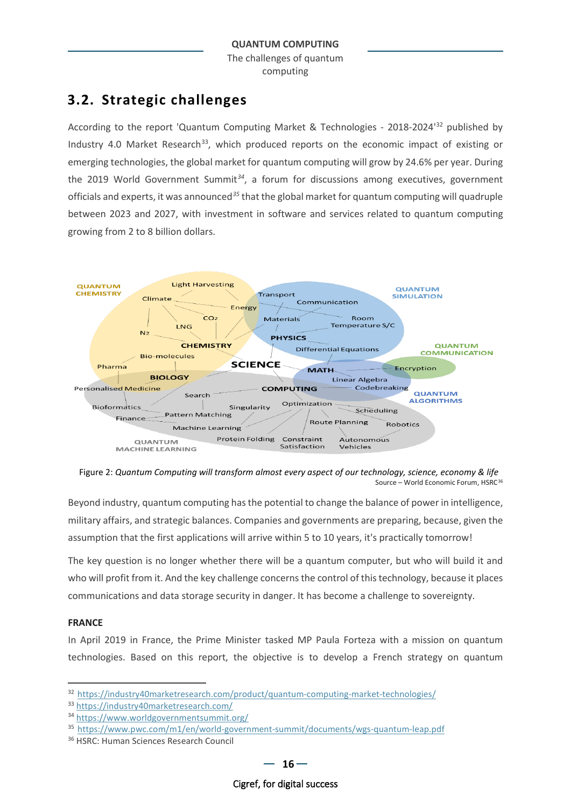### <span id="page-15-0"></span>**3.2. Strategic challenges**

According to the report 'Quantum Computing Market & Technologies - 2018-2024'[32](#page-15-2) published by Industry 4.0 Market Research<sup>[33](#page-15-3)</sup>, which produced reports on the economic impact of existing or emerging technologies, the global market for quantum computing will grow by 24.6% per year. During the 2019 World Government Summit*[34](#page-15-4)*, a forum for discussions among executives, government officials and experts, it was announced*[35](#page-15-5)* that the global market for quantum computing will quadruple between 2023 and 2027, with investment in software and services related to quantum computing growing from 2 to 8 billion dollars.



<span id="page-15-1"></span>Figure 2: *Quantum Computing will transform almost every aspect of our technology, science, economy & life* Source – World Economic Forum, HSRC<sup>[36](#page-15-6)</sup>

Beyond industry, quantum computing has the potential to change the balance of power in intelligence, military affairs, and strategic balances. Companies and governments are preparing, because, given the assumption that the first applications will arrive within 5 to 10 years, it's practically tomorrow!

The key question is no longer whether there will be a quantum computer, but who will build it and who will profit from it. And the key challenge concerns the control of this technology, because it places communications and data storage security in danger. It has become a challenge to sovereignty.

### **FRANCE**

In April 2019 in France, the Prime Minister tasked MP Paula Forteza with a mission on quantum technologies. Based on this report, the objective is to develop a French strategy on quantum

<span id="page-15-2"></span><sup>32</sup> <https://industry40marketresearch.com/product/quantum-computing-market-technologies/>

<span id="page-15-3"></span><sup>33</sup> <https://industry40marketresearch.com/>

<span id="page-15-4"></span><sup>34</sup> <https://www.worldgovernmentsummit.org/>

<span id="page-15-5"></span><sup>35</sup> <https://www.pwc.com/m1/en/world-government-summit/documents/wgs-quantum-leap.pdf>

<span id="page-15-6"></span><sup>36</sup> HSRC: Human Sciences Research Council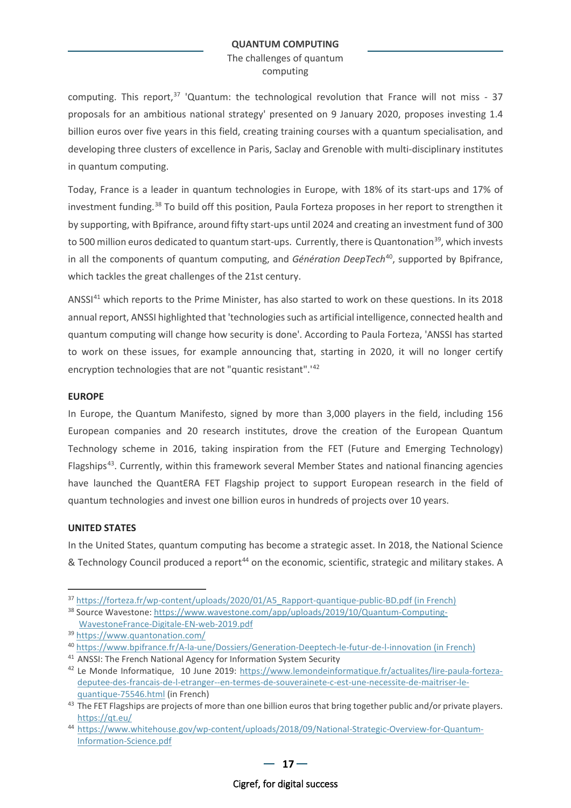The challenges of quantum computing

computing. This report,  $37$  'Quantum: the technological revolution that France will not miss - 37 proposals for an ambitious national strategy' presented on 9 January 2020, proposes investing 1.4 billion euros over five years in this field, creating training courses with a quantum specialisation, and developing three clusters of excellence in Paris, Saclay and Grenoble with multi-disciplinary institutes in quantum computing.

Today, France is a leader in quantum technologies in Europe, with 18% of its start-ups and 17% of investment funding.[38](#page-16-1) To build off this position, Paula Forteza proposes in her report to strengthen it by supporting, with Bpifrance, around fifty start-ups until 2024 and creating an investment fund of 300 to 500 million euros dedicated to quantum start-ups. Currently, there is Quantonation<sup>39</sup>, which invests in all the components of quantum computing, and *Génération DeepTech*[40](#page-16-3), supported by Bpifrance, which tackles the great challenges of the 21st century.

ANSSI<sup>[41](#page-16-4)</sup> which reports to the Prime Minister, has also started to work on these questions. In its 2018 annual report, ANSSI highlighted that 'technologies such as artificial intelligence, connected health and quantum computing will change how security is done'. According to Paula Forteza, 'ANSSI has started to work on these issues, for example announcing that, starting in 2020, it will no longer certify encryption technologies that are not "quantic resistant".'[42](#page-16-5)

### **EUROPE**

In Europe, the Quantum Manifesto, signed by more than 3,000 players in the field, including 156 European companies and 20 research institutes, drove the creation of the European Quantum Technology scheme in 2016, taking inspiration from the FET (Future and Emerging Technology) Flagships<sup>[43](#page-16-6)</sup>. Currently, within this framework several Member States and national financing agencies have launched the QuantERA FET Flagship project to support European research in the field of quantum technologies and invest one billion euros in hundreds of projects over 10 years.

### **UNITED STATES**

In the United States, quantum computing has become a strategic asset. In 2018, the National Science & Technology Council produced a report<sup>[44](#page-16-7)</sup> on the economic, scientific, strategic and military stakes. A

[WavestoneFrance-Digitale-EN-web-2019.pdf](https://www.wavestone.com/app/uploads/2019/10/Quantum-Computing-WavestoneFrance-Digitale-EN-web-2019.pdf)

<span id="page-16-0"></span><sup>&</sup>lt;sup>37</sup> [https://forteza.fr/wp-content/uploads/2020/01/A5\\_Rapport-quantique-public-BD.pdf \(in French\)](https://forteza.fr/wp-content/uploads/2020/01/A5_Rapport-quantique-public-BD.pdf)

<span id="page-16-1"></span><sup>38</sup> Source Wavestone[: https://www.wavestone.com/app/uploads/2019/10/Quantum-Computing-](https://www.wavestone.com/app/uploads/2019/10/Quantum-Computing-WavestoneFrance-Digitale-EN-web-2019.pdf)

<span id="page-16-2"></span><sup>39</sup> <https://www.quantonation.com/>

<span id="page-16-3"></span><sup>40</sup> [https://www.bpifrance.fr/A-la-une/Dossiers/Generation-Deeptech-le-futur-de-l-innovation \(in French\)](https://www.bpifrance.fr/A-la-une/Dossiers/Generation-Deeptech-le-futur-de-l-innovation)

<span id="page-16-4"></span><sup>&</sup>lt;sup>41</sup> ANSSI: The French National Agency for Information System Security

<span id="page-16-5"></span><sup>42</sup> Le Monde Informatique, 10 June 2019: [https://www.lemondeinformatique.fr/actualites/lire-paula-forteza](https://www.lemondeinformatique.fr/actualites/lire-paula-forteza-deputee-des-francais-de-l-etranger--en-termes-de-souverainete-c-est-une-necessite-de-maitriser-le-quantique-75546.html)[deputee-des-francais-de-l-etranger--en-termes-de-souverainete-c-est-une-necessite-de-maitriser-le](https://www.lemondeinformatique.fr/actualites/lire-paula-forteza-deputee-des-francais-de-l-etranger--en-termes-de-souverainete-c-est-une-necessite-de-maitriser-le-quantique-75546.html)[quantique-75546.html](https://www.lemondeinformatique.fr/actualites/lire-paula-forteza-deputee-des-francais-de-l-etranger--en-termes-de-souverainete-c-est-une-necessite-de-maitriser-le-quantique-75546.html) (in French)

<span id="page-16-6"></span><sup>&</sup>lt;sup>43</sup> The FET Flagships are projects of more than one billion euros that bring together public and/or private players. <https://qt.eu/>

<span id="page-16-7"></span><sup>44</sup> [https://www.whitehouse.gov/wp-content/uploads/2018/09/National-Strategic-Overview-for-Quantum-](https://www.whitehouse.gov/wp-content/uploads/2018/09/National-Strategic-Overview-for-Quantum-Information-Science.pdf)[Information-Science.pdf](https://www.whitehouse.gov/wp-content/uploads/2018/09/National-Strategic-Overview-for-Quantum-Information-Science.pdf)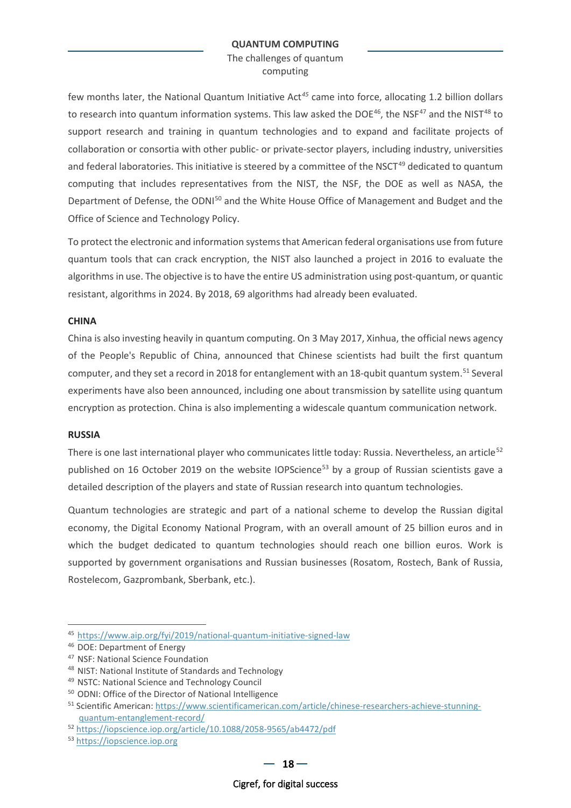The challenges of quantum computing

few months later, the National Quantum Initiative Act*[45](#page-17-0)* came into force, allocating 1.2 billion dollars to research into quantum information systems. This law asked the DOE<sup>46</sup>, the NSF<sup>[47](#page-17-2)</sup> and the NIST<sup>[48](#page-17-3)</sup> to support research and training in quantum technologies and to expand and facilitate projects of collaboration or consortia with other public- or private-sector players, including industry, universities and federal laboratories. This initiative is steered by a committee of the NSCT<sup>[49](#page-17-4)</sup> dedicated to quantum computing that includes representatives from the NIST, the NSF, the DOE as well as NASA, the Department of Defense, the ODNI<sup>[50](#page-17-5)</sup> and the White House Office of Management and Budget and the Office of Science and Technology Policy.

To protect the electronic and information systems that American federal organisations use from future quantum tools that can crack encryption, the NIST also launched a project in 2016 to evaluate the algorithms in use. The objective is to have the entire US administration using post-quantum, or quantic resistant, algorithms in 2024. By 2018, 69 algorithms had already been evaluated.

### **CHINA**

China is also investing heavily in quantum computing. On 3 May 2017, Xinhua, the official news agency of the People's Republic of China, announced that Chinese scientists had built the first quantum computer, and they set a record in 2018 for entanglement with an 18-qubit quantum system.<sup>[51](#page-17-6)</sup> Several experiments have also been announced, including one about transmission by satellite using quantum encryption as protection. China is also implementing a widescale quantum communication network.

### **RUSSIA**

There is one last international player who communicates little today: Russia. Nevertheless, an article<sup>[52](#page-17-7)</sup> published on 16 October 2019 on the website IOPScience<sup>[53](#page-17-8)</sup> by a group of Russian scientists gave a detailed description of the players and state of Russian research into quantum technologies.

Quantum technologies are strategic and part of a national scheme to develop the Russian digital economy, the Digital Economy National Program, with an overall amount of 25 billion euros and in which the budget dedicated to quantum technologies should reach one billion euros. Work is supported by government organisations and Russian businesses (Rosatom, Rostech, Bank of Russia, Rostelecom, Gazprombank, Sberbank, etc.).

<span id="page-17-0"></span><sup>45</sup> <https://www.aip.org/fyi/2019/national-quantum-initiative-signed-law>

<span id="page-17-1"></span><sup>46</sup> DOE: Department of Energy

<span id="page-17-2"></span><sup>47</sup> NSF: National Science Foundation

<span id="page-17-3"></span><sup>48</sup> NIST: National Institute of Standards and Technology

<span id="page-17-4"></span><sup>49</sup> NSTC: National Science and Technology Council

<span id="page-17-5"></span><sup>50</sup> ODNI: Office of the Director of National Intelligence

<span id="page-17-6"></span><sup>51</sup> Scientific American: [https://www.scientificamerican.com/article/chinese-researchers-achieve-stunning](https://www.scientificamerican.com/article/chinese-researchers-achieve-stunning-quantum-entanglement-record/)[quantum-entanglement-record/](https://www.scientificamerican.com/article/chinese-researchers-achieve-stunning-quantum-entanglement-record/)

<span id="page-17-7"></span><sup>52</sup> <https://iopscience.iop.org/article/10.1088/2058-9565/ab4472/pdf>

<span id="page-17-8"></span><sup>53</sup> [https://iopscience.iop.org](https://iopscience.iop.org/)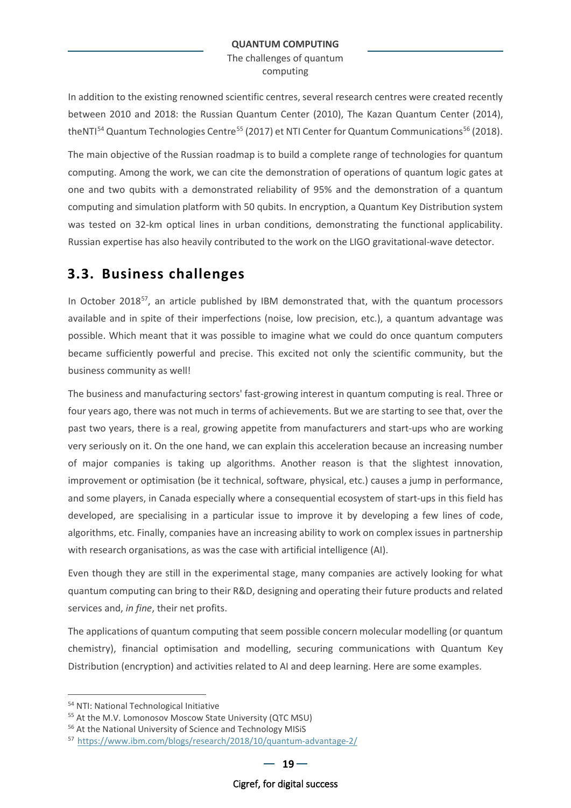In addition to the existing renowned scientific centres, several research centres were created recently between 2010 and 2018: the Russian Quantum Center (2010), The Kazan Quantum Center (2014), theNTI $^{54}$  $^{54}$  $^{54}$  Quantum Technologies Centre<sup>[55](#page-18-2)</sup> (2017) et NTI Center for Quantum Communications<sup>[56](#page-18-3)</sup> (2018).

The main objective of the Russian roadmap is to build a complete range of technologies for quantum computing. Among the work, we can cite the demonstration of operations of quantum logic gates at one and two qubits with a demonstrated reliability of 95% and the demonstration of a quantum computing and simulation platform with 50 qubits. In encryption, a Quantum Key Distribution system was tested on 32-km optical lines in urban conditions, demonstrating the functional applicability. Russian expertise has also heavily contributed to the work on the LIGO gravitational-wave detector.

### <span id="page-18-0"></span>**3.3. Business challenges**

In October 2018 $^{57}$  $^{57}$  $^{57}$ , an article published by IBM demonstrated that, with the quantum processors available and in spite of their imperfections (noise, low precision, etc.), a quantum advantage was possible. Which meant that it was possible to imagine what we could do once quantum computers became sufficiently powerful and precise. This excited not only the scientific community, but the business community as well!

The business and manufacturing sectors' fast-growing interest in quantum computing is real. Three or four years ago, there was not much in terms of achievements. But we are starting to see that, over the past two years, there is a real, growing appetite from manufacturers and start-ups who are working very seriously on it. On the one hand, we can explain this acceleration because an increasing number of major companies is taking up algorithms. Another reason is that the slightest innovation, improvement or optimisation (be it technical, software, physical, etc.) causes a jump in performance, and some players, in Canada especially where a consequential ecosystem of start-ups in this field has developed, are specialising in a particular issue to improve it by developing a few lines of code, algorithms, etc. Finally, companies have an increasing ability to work on complex issues in partnership with research organisations, as was the case with artificial intelligence (AI).

Even though they are still in the experimental stage, many companies are actively looking for what quantum computing can bring to their R&D, designing and operating their future products and related services and, *in fine*, their net profits.

The applications of quantum computing that seem possible concern molecular modelling (or quantum chemistry), financial optimisation and modelling, securing communications with Quantum Key Distribution (encryption) and activities related to AI and deep learning. Here are some examples.

<span id="page-18-1"></span><sup>54</sup> NTI: National Technological Initiative

<span id="page-18-2"></span><sup>55</sup> At the M.V. Lomonosov Moscow State University (QTC MSU)

<span id="page-18-3"></span><sup>56</sup> At the National University of Science and Technology MISiS

<span id="page-18-4"></span><sup>57</sup> <https://www.ibm.com/blogs/research/2018/10/quantum-advantage-2/>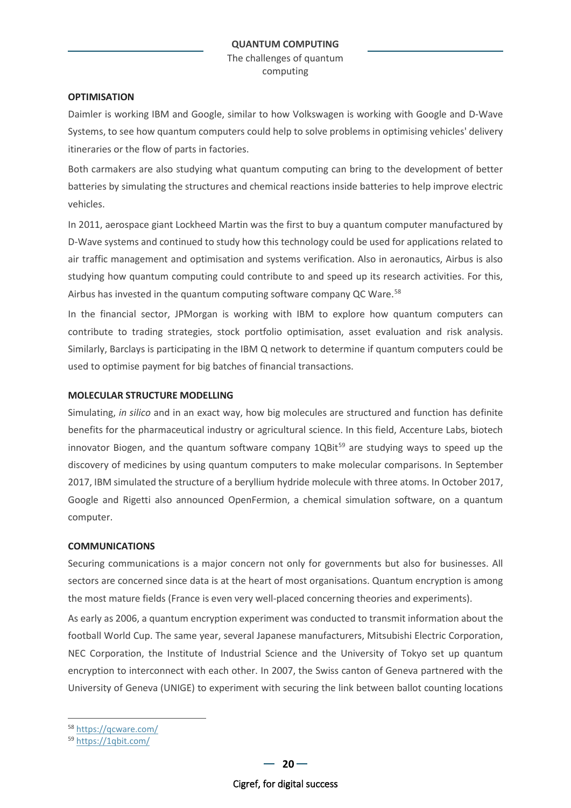### **OPTIMISATION**

Daimler is working IBM and Google, similar to how Volkswagen is working with Google and D-Wave Systems, to see how quantum computers could help to solve problems in optimising vehicles' delivery itineraries or the flow of parts in factories.

Both carmakers are also studying what quantum computing can bring to the development of better batteries by simulating the structures and chemical reactions inside batteries to help improve electric vehicles.

In 2011, aerospace giant Lockheed Martin was the first to buy a quantum computer manufactured by D-Wave systems and continued to study how this technology could be used for applications related to air traffic management and optimisation and systems verification. Also in aeronautics, Airbus is also studying how quantum computing could contribute to and speed up its research activities. For this, Airbus has invested in the quantum computing software company QC Ware.<sup>[58](#page-19-0)</sup>

In the financial sector, JPMorgan is working with IBM to explore how quantum computers can contribute to trading strategies, stock portfolio optimisation, asset evaluation and risk analysis. Similarly, Barclays is participating in the IBM Q network to determine if quantum computers could be used to optimise payment for big batches of financial transactions.

### **MOLECULAR STRUCTURE MODELLING**

Simulating, *in silico* and in an exact way, how big molecules are structured and function has definite benefits for the pharmaceutical industry or agricultural science. In this field, Accenture Labs, biotech innovator Biogen, and the quantum software company  $1QBit<sup>59</sup>$  $1QBit<sup>59</sup>$  $1QBit<sup>59</sup>$  are studying ways to speed up the discovery of medicines by using quantum computers to make molecular comparisons. In September 2017, IBM simulated the structure of a beryllium hydride molecule with three atoms. In October 2017, Google and Rigetti also announced OpenFermion, a chemical simulation software, on a quantum computer.

### **COMMUNICATIONS**

Securing communications is a major concern not only for governments but also for businesses. All sectors are concerned since data is at the heart of most organisations. Quantum encryption is among the most mature fields (France is even very well-placed concerning theories and experiments).

As early as 2006, a quantum encryption experiment was conducted to transmit information about the football World Cup. The same year, several Japanese manufacturers, Mitsubishi Electric Corporation, NEC Corporation, the Institute of Industrial Science and the University of Tokyo set up quantum encryption to interconnect with each other. In 2007, the Swiss canton of Geneva partnered with the University of Geneva (UNIGE) to experiment with securing the link between ballot counting locations

<span id="page-19-0"></span><sup>58</sup> <https://qcware.com/>

<span id="page-19-1"></span><sup>59</sup> <https://1qbit.com/>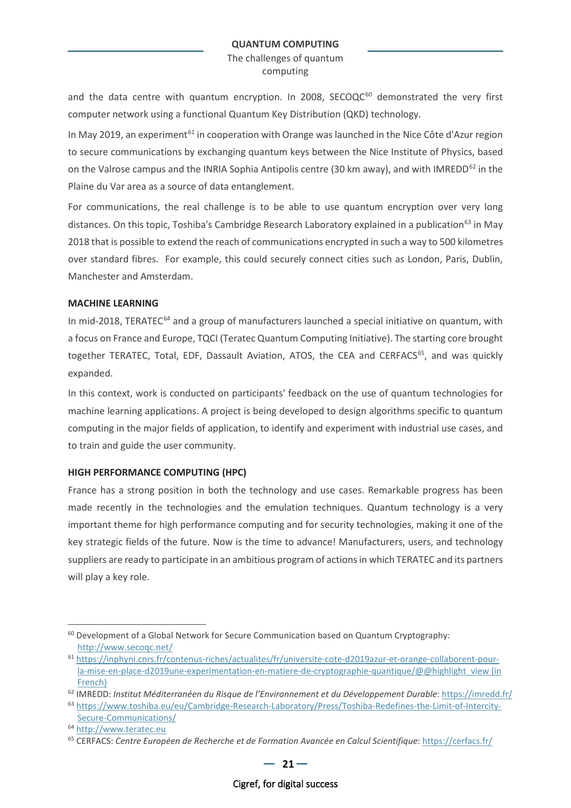and the data centre with quantum encryption. In 2008,  $SECOQC^{60}$  $SECOQC^{60}$  $SECOQC^{60}$  demonstrated the very first computer network using a functional Quantum Key Distribution (QKD) technology.

In Mav 2019, an experiment<sup>[61](#page-20-1)</sup> in cooperation with Orange was launched in the Nice Côte d'Azur region to secure communications by exchanging quantum keys between the Nice Institute of Physics, based on the Valrose campus and the INRIA Sophia Antipolis centre (30 km away), and with IMREDD<sup>[62](#page-20-2)</sup> in the Plaine du Var area as a source of data entanglement.

For communications, the real challenge is to be able to use quantum encryption over very long distances. On this topic, Toshiba's Cambridge Research Laboratory explained in a publication<sup>63</sup> in May 2018 that is possible to extend the reach of communications encrypted in such a way to 500 kilometres over standard fibres. For example, this could securely connect cities such as London, Paris, Dublin, Manchester and Amsterdam.

### **MACHINE LEARNING**

In mid-2018, TERATEC $^{64}$  $^{64}$  $^{64}$  and a group of manufacturers launched a special initiative on quantum, with a focus on France and Europe, TQCI (Teratec Quantum Computing Initiative). The starting core brought together TERATEC, Total, EDF, Dassault Aviation, ATOS, the CEA and CERFACS<sup>65</sup>, and was quickly expanded.

In this context, work is conducted on participants' feedback on the use of quantum technologies for machine learning applications. A project is being developed to design algorithms specific to quantum computing in the major fields of application, to identify and experiment with industrial use cases, and to train and guide the user community.

### **HIGH PERFORMANCE COMPUTING (HPC)**

France has a strong position in both the technology and use cases. Remarkable progress has been made recently in the technologies and the emulation techniques. Quantum technology is a very important theme for high performance computing and for security technologies, making it one of the key strategic fields of the future. Now is the time to advance! Manufacturers, users, and technology suppliers are ready to participate in an ambitious program of actions in which TERATEC and its partners will play a key role.

<span id="page-20-0"></span> $60$  Development of a Global Network for Secure Communication based on Quantum Cryptography: <http://www.secoqc.net/>

<span id="page-20-1"></span><sup>61</sup> [https://inphyni.cnrs.fr/contenus-riches/actualites/fr/universite-cote-d2019azur-et-orange-collaborent-pour](https://inphyni.cnrs.fr/contenus-riches/actualites/fr/universite-cote-d2019azur-et-orange-collaborent-pour-la-mise-en-place-d2019une-experimentation-en-matiere-de-cryptographie-quantique/@@highlight_view)la-mise-en-place-d2019une-experimentation-en-matiere-de-cryptographie-quantique/@@highlight\_view (in [French\)](https://inphyni.cnrs.fr/contenus-riches/actualites/fr/universite-cote-d2019azur-et-orange-collaborent-pour-la-mise-en-place-d2019une-experimentation-en-matiere-de-cryptographie-quantique/@@highlight_view)

<span id="page-20-2"></span><sup>&</sup>lt;sup>62</sup> IMREDD: Institut Méditerranéen du Risque de l'Environnement et du Développement Durable:<https://imredd.fr/>

<span id="page-20-3"></span><sup>63</sup> [https://www.toshiba.eu/eu/Cambridge-Research-Laboratory/Press/Toshiba-Redefines-the-Limit-of-Intercity-](https://www.toshiba.eu/eu/Cambridge-Research-Laboratory/Press/Toshiba-Redefines-the-Limit-of-Intercity-Secure-Communications/)[Secure-Communications/](https://www.toshiba.eu/eu/Cambridge-Research-Laboratory/Press/Toshiba-Redefines-the-Limit-of-Intercity-Secure-Communications/)

<span id="page-20-4"></span><sup>64</sup> [http://www.teratec.eu](http://www.teratec.eu/)

<span id="page-20-5"></span><sup>65</sup> CERFACS: *Centre Européen de Recherche et de Formation Avancée en Calcul Scientifique*[: https://cerfacs.fr/](https://cerfacs.fr/)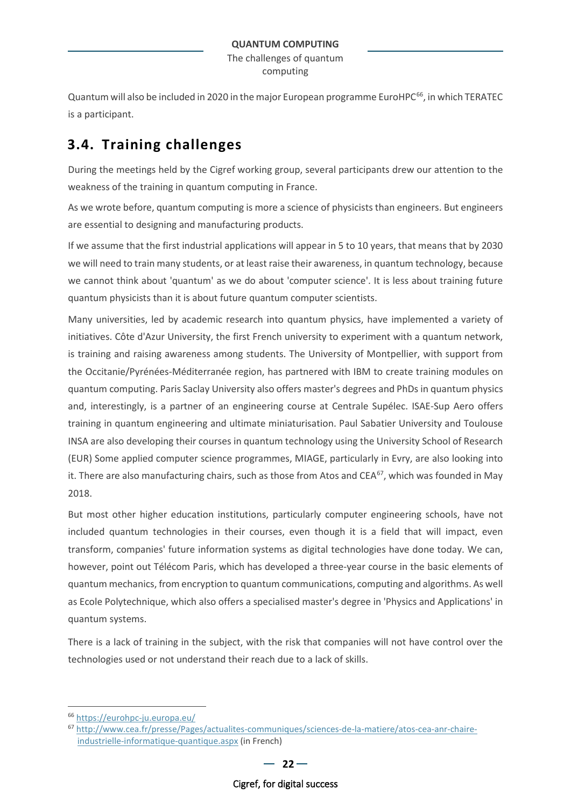Quantum will also be included in 2020 in the major European programme EuroHPC<sup>[66](#page-21-1)</sup>, in which TERATEC is a participant.

## <span id="page-21-0"></span>**3.4. Training challenges**

During the meetings held by the Cigref working group, several participants drew our attention to the weakness of the training in quantum computing in France.

As we wrote before, quantum computing is more a science of physicists than engineers. But engineers are essential to designing and manufacturing products.

If we assume that the first industrial applications will appear in 5 to 10 years, that means that by 2030 we will need to train many students, or at least raise their awareness, in quantum technology, because we cannot think about 'quantum' as we do about 'computer science'. It is less about training future quantum physicists than it is about future quantum computer scientists.

Many universities, led by academic research into quantum physics, have implemented a variety of initiatives. Côte d'Azur University, the first French university to experiment with a quantum network, is training and raising awareness among students. The University of Montpellier, with support from the Occitanie/Pyrénées-Méditerranée region, has partnered with IBM to create training modules on quantum computing. Paris Saclay University also offers master's degrees and PhDs in quantum physics and, interestingly, is a partner of an engineering course at Centrale Supélec. ISAE-Sup Aero offers training in quantum engineering and ultimate miniaturisation. Paul Sabatier University and Toulouse INSA are also developing their courses in quantum technology using the University School of Research (EUR) Some applied computer science programmes, MIAGE, particularly in Evry, are also looking into it. There are also manufacturing chairs, such as those from Atos and CEA<sup>[67](#page-21-2)</sup>, which was founded in May 2018.

But most other higher education institutions, particularly computer engineering schools, have not included quantum technologies in their courses, even though it is a field that will impact, even transform, companies' future information systems as digital technologies have done today. We can, however, point out Télécom Paris, which has developed a three-year course in the basic elements of quantum mechanics, from encryption to quantum communications, computing and algorithms. As well as Ecole Polytechnique, which also offers a specialised master's degree in 'Physics and Applications' in quantum systems.

There is a lack of training in the subject, with the risk that companies will not have control over the technologies used or not understand their reach due to a lack of skills.

<span id="page-21-1"></span><sup>66</sup> <https://eurohpc-ju.europa.eu/>

<span id="page-21-2"></span><sup>67</sup> [http://www.cea.fr/presse/Pages/actualites-communiques/sciences-de-la-matiere/atos-cea-anr-chaire](http://www.cea.fr/presse/Pages/actualites-communiques/sciences-de-la-matiere/atos-cea-anr-chaire-industrielle-informatique-quantique.aspx)[industrielle-informatique-quantique.aspx](http://www.cea.fr/presse/Pages/actualites-communiques/sciences-de-la-matiere/atos-cea-anr-chaire-industrielle-informatique-quantique.aspx) (in French)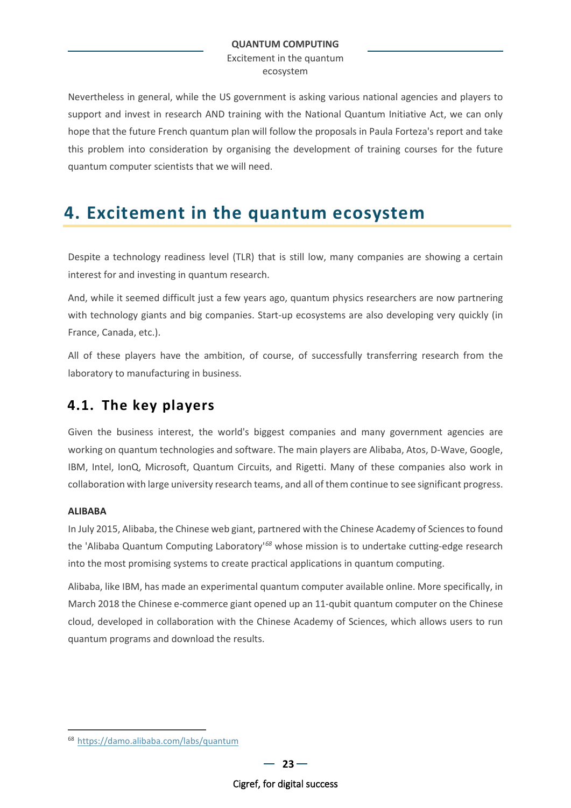Excitement in the quantum ecosystem

Nevertheless in general, while the US government is asking various national agencies and players to support and invest in research AND training with the National Quantum Initiative Act, we can only hope that the future French quantum plan will follow the proposals in Paula Forteza's report and take this problem into consideration by organising the development of training courses for the future quantum computer scientists that we will need.

# <span id="page-22-0"></span>**4. Excitement in the quantum ecosystem**

Despite a technology readiness level (TLR) that is still low, many companies are showing a certain interest for and investing in quantum research.

And, while it seemed difficult just a few years ago, quantum physics researchers are now partnering with technology giants and big companies. Start-up ecosystems are also developing very quickly (in France, Canada, etc.).

All of these players have the ambition, of course, of successfully transferring research from the laboratory to manufacturing in business.

## <span id="page-22-1"></span>**4.1. The key players**

Given the business interest, the world's biggest companies and many government agencies are working on quantum technologies and software. The main players are Alibaba, Atos, D-Wave, Google, IBM, Intel, IonQ, Microsoft, Quantum Circuits, and Rigetti. Many of these companies also work in collaboration with large university research teams, and all of them continue to see significant progress.

### **ALIBABA**

In July 2015, Alibaba, the Chinese web giant, partnered with the Chinese Academy of Sciences to found the 'Alibaba Quantum Computing Laboratory'*[68](#page-22-2)* whose mission is to undertake cutting-edge research into the most promising systems to create practical applications in quantum computing.

Alibaba, like IBM, has made an experimental quantum computer available online. More specifically, in March 2018 the Chinese e-commerce giant opened up an 11-qubit quantum computer on the Chinese cloud, developed in collaboration with the Chinese Academy of Sciences, which allows users to run quantum programs and download the results.

<span id="page-22-2"></span><sup>68</sup> <https://damo.alibaba.com/labs/quantum>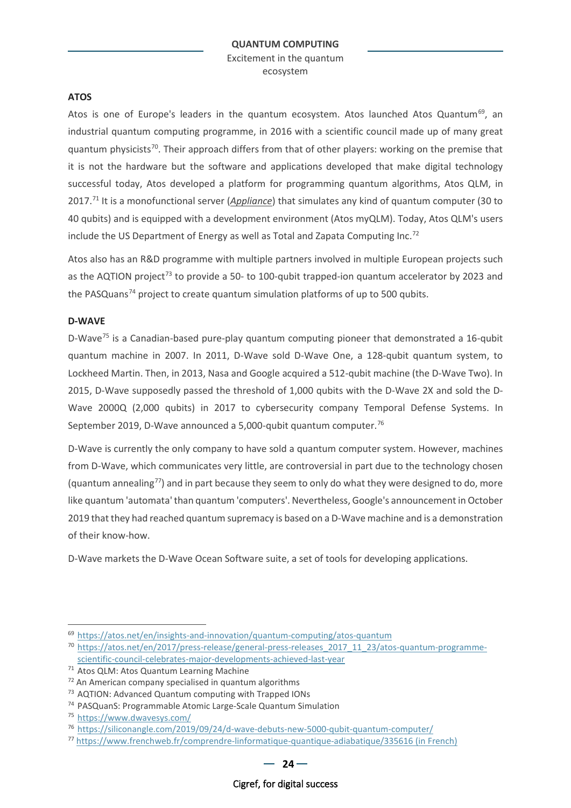### **ATOS**

Atos is one of Europe's leaders in the quantum ecosystem. Atos launched Atos Quantum<sup>69</sup>, an industrial quantum computing programme, in 2016 with a scientific council made up of many great quantum physicists<sup>70</sup>. Their approach differs from that of other players: working on the premise that it is not the hardware but the software and applications developed that make digital technology successful today, Atos developed a platform for programming quantum algorithms, Atos QLM, in 2017[.71](#page-23-2) It is a monofunctional server (*Appliance*) that simulates any kind of quantum computer (30 to 40 qubits) and is equipped with a development environment (Atos myQLM). Today, Atos QLM's users include the US Department of Energy as well as Total and Zapata Computing Inc.<sup>[72](#page-23-3)</sup>

Atos also has an R&D programme with multiple partners involved in multiple European projects such as the AQTION project<sup>[73](#page-23-4)</sup> to provide a 50- to 100-qubit trapped-ion quantum accelerator by 2023 and the PASQuans<sup>[74](#page-23-5)</sup> project to create quantum simulation platforms of up to 500 qubits.

### **D-WAVE**

D-Wave<sup>[75](#page-23-6)</sup> is a Canadian-based pure-play quantum computing pioneer that demonstrated a 16-qubit quantum machine in 2007. In 2011, D-Wave sold D-Wave One, a 128-qubit quantum system, to Lockheed Martin. Then, in 2013, Nasa and Google acquired a 512-qubit machine (the D-Wave Two). In 2015, D-Wave supposedly passed the threshold of 1,000 qubits with the D-Wave 2X and sold the D-Wave 2000Q (2,000 qubits) in 2017 to cybersecurity company Temporal Defense Systems. In September 2019, D-Wave announced a 5,000-qubit quantum computer.<sup>[76](#page-23-7)</sup>

D-Wave is currently the only company to have sold a quantum computer system. However, machines from D-Wave, which communicates very little, are controversial in part due to the technology chosen (quantum annealing<sup>[77](#page-23-8)</sup>) and in part because they seem to only do what they were designed to do, more like quantum 'automata' than quantum 'computers'. Nevertheless, Google's announcement in October 2019 that they had reached quantum supremacy is based on a D-Wave machine and is a demonstration of their know-how.

D-Wave markets the D-Wave Ocean Software suite, a set of tools for developing applications.

<span id="page-23-0"></span><sup>69</sup> <https://atos.net/en/insights-and-innovation/quantum-computing/atos-quantum>

<span id="page-23-1"></span><sup>70</sup> [https://atos.net/en/2017/press-release/general-press-releases\\_2017\\_11\\_23/atos-quantum-programme](https://atos.net/en/2017/press-release/general-press-releases_2017_11_23/atos-quantum-programme-scientific-council-celebrates-major-developments-achieved-last-year)[scientific-council-celebrates-major-developments-achieved-last-year](https://atos.net/en/2017/press-release/general-press-releases_2017_11_23/atos-quantum-programme-scientific-council-celebrates-major-developments-achieved-last-year)

<span id="page-23-2"></span><sup>71</sup> Atos QLM: Atos Quantum Learning Machine

<span id="page-23-3"></span><sup>72</sup> An American company specialised in quantum algorithms

<span id="page-23-4"></span><sup>73</sup> AQTION: Advanced Quantum computing with Trapped IONs

<span id="page-23-5"></span><sup>74</sup> PASQuanS: Programmable Atomic Large-Scale Quantum Simulation

<span id="page-23-6"></span><sup>75</sup> <https://www.dwavesys.com/>

<span id="page-23-7"></span><sup>76</sup> <https://siliconangle.com/2019/09/24/d-wave-debuts-new-5000-qubit-quantum-computer/>

<span id="page-23-8"></span><sup>77</sup> [https://www.frenchweb.fr/comprendre-linformatique-quantique-adiabatique/335616 \(in French\)](https://www.frenchweb.fr/comprendre-linformatique-quantique-adiabatique/335616)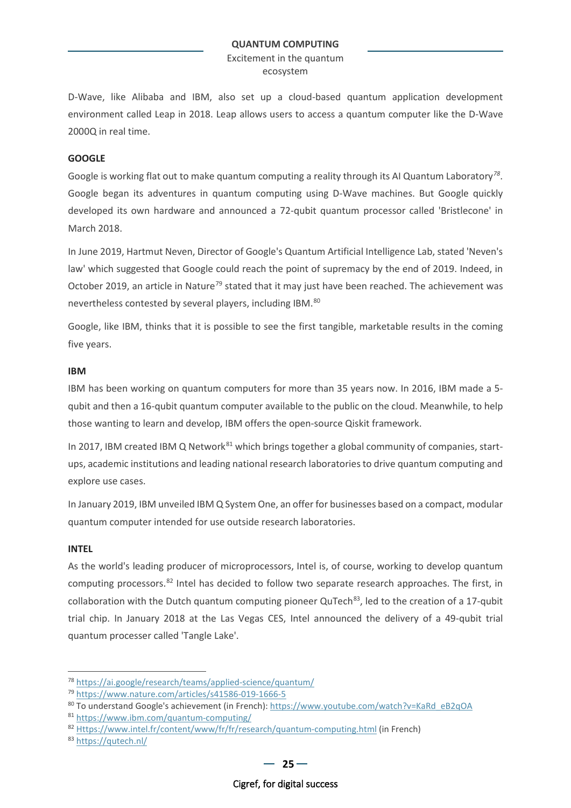Excitement in the quantum ecosystem

D-Wave, like Alibaba and IBM, also set up a cloud-based quantum application development environment called Leap in 2018. Leap allows users to access a quantum computer like the D-Wave 2000Q in real time.

### **GOOGLE**

Google is working flat out to make quantum computing a reality through its AI Quantum Laboratory*[78](#page-24-0)*. Google began its adventures in quantum computing using D-Wave machines. But Google quickly developed its own hardware and announced a 72-qubit quantum processor called 'Bristlecone' in March 2018.

In June 2019, Hartmut Neven, Director of Google's Quantum Artificial Intelligence Lab, stated 'Neven's law' which suggested that Google could reach the point of supremacy by the end of 2019. Indeed, in October 2019, an article in Nature<sup>[79](#page-24-1)</sup> stated that it may just have been reached. The achievement was nevertheless contested by several players, including IBM.<sup>[80](#page-24-2)</sup>

Google, like IBM, thinks that it is possible to see the first tangible, marketable results in the coming five years.

#### **IBM**

IBM has been working on quantum computers for more than 35 years now. In 2016, IBM made a 5 qubit and then a 16-qubit quantum computer available to the public on the cloud. Meanwhile, to help those wanting to learn and develop, IBM offers the open-source Qiskit framework.

In 2017, IBM created IBM Q Network<sup>[81](#page-24-3)</sup> which brings together a global community of companies, startups, academic institutions and leading national research laboratories to drive quantum computing and explore use cases.

In January 2019, IBM unveiled IBM Q System One, an offer for businesses based on a compact, modular quantum computer intended for use outside research laboratories.

#### **INTEL**

As the world's leading producer of microprocessors, Intel is, of course, working to develop quantum computing processors.<sup>[82](#page-24-4)</sup> Intel has decided to follow two separate research approaches. The first, in collaboration with the Dutch quantum computing pioneer  $QuTech<sup>83</sup>$ , led to the creation of a 17-qubit trial chip. In January 2018 at the Las Vegas CES, Intel announced the delivery of a 49-qubit trial quantum processer called 'Tangle Lake'.

<span id="page-24-0"></span><sup>78</sup> <https://ai.google/research/teams/applied-science/quantum/>

<span id="page-24-1"></span><sup>79</sup> <https://www.nature.com/articles/s41586-019-1666-5>

<span id="page-24-2"></span><sup>80</sup> To understand Google's achievement (in French): [https://www.youtube.com/watch?v=KaRd\\_eB2qOA](https://www.youtube.com/watch?v=KaRd_eB2qOA)

<span id="page-24-3"></span><sup>81</sup> <https://www.ibm.com/quantum-computing/>

<span id="page-24-4"></span><sup>82</sup> [Https://www.intel.fr/content/www/fr/fr/research/quantum-computing.html](https://www.intel.fr/content/www/fr/fr/research/quantum-computing.html) (in French)

<span id="page-24-5"></span><sup>83</sup> <https://qutech.nl/>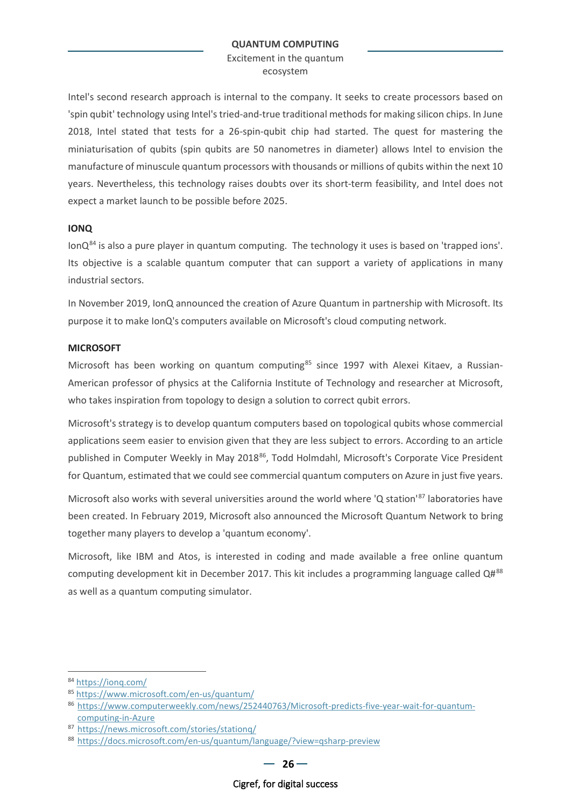Excitement in the quantum ecosystem

Intel's second research approach is internal to the company. It seeks to create processors based on 'spin qubit' technology using Intel's tried-and-true traditional methods for making silicon chips. In June 2018, Intel stated that tests for a 26-spin-qubit chip had started. The quest for mastering the miniaturisation of qubits (spin qubits are 50 nanometres in diameter) allows Intel to envision the manufacture of minuscule quantum processors with thousands or millions of qubits within the next 10 years. Nevertheless, this technology raises doubts over its short-term feasibility, and Intel does not expect a market launch to be possible before 2025.

### **IONQ**

 $I$ onQ $84$  is also a pure player in quantum computing. The technology it uses is based on 'trapped ions'. Its objective is a scalable quantum computer that can support a variety of applications in many industrial sectors.

In November 2019, IonQ announced the creation of Azure Quantum in partnership with Microsoft. Its purpose it to make IonQ's computers available on Microsoft's cloud computing network.

#### **MICROSOFT**

Microsoft has been working on quantum computing<sup>[85](#page-25-1)</sup> since 1997 with Alexei Kitaev, a Russian-American professor of physics at the California Institute of Technology and researcher at Microsoft, who takes inspiration from topology to design a solution to correct qubit errors.

Microsoft's strategy is to develop quantum computers based on topological qubits whose commercial applications seem easier to envision given that they are less subject to errors. According to an article published in Computer Weekly in May 2018<sup>86</sup>, Todd Holmdahl, Microsoft's Corporate Vice President for Quantum, estimated that we could see commercial quantum computers on Azure in just five years.

Microsoft also works with several universities around the world where 'Q station'<sup>[87](#page-25-3)</sup> laboratories have been created. In February 2019, Microsoft also announced the Microsoft Quantum Network to bring together many players to develop a 'quantum economy'.

Microsoft, like IBM and Atos, is interested in coding and made available a free online quantum computing development kit in December 2017. This kit includes a programming language called  $Q\#^{88}$  $Q\#^{88}$  $Q\#^{88}$ as well as a quantum computing simulator.

<span id="page-25-0"></span><sup>84</sup> <https://ionq.com/>

<span id="page-25-1"></span><sup>85</sup> <https://www.microsoft.com/en-us/quantum/>

<span id="page-25-2"></span><sup>86</sup> [https://www.computerweekly.com/news/252440763/Microsoft-predicts-five-year-wait-for-quantum](https://www.computerweekly.com/news/252440763/Microsoft-predicts-five-year-wait-for-quantum-computing-in-Azure)[computing-in-Azure](https://www.computerweekly.com/news/252440763/Microsoft-predicts-five-year-wait-for-quantum-computing-in-Azure)

<span id="page-25-3"></span><sup>87</sup> <https://news.microsoft.com/stories/stationq/>

<span id="page-25-4"></span><sup>88</sup> <https://docs.microsoft.com/en-us/quantum/language/?view=qsharp-preview>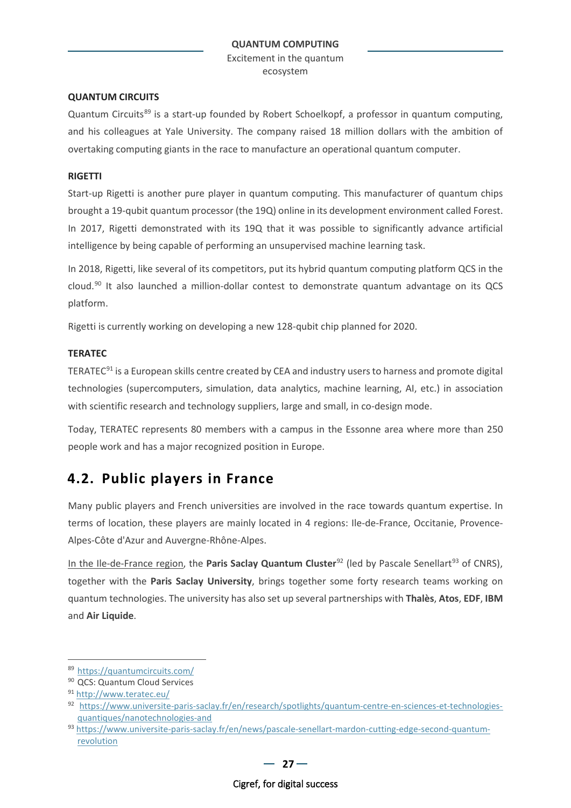Excitement in the quantum ecosystem

### **QUANTUM CIRCUITS**

Quantum Circuit[s89](#page-26-1) is a start-up founded by Robert Schoelkopf, a professor in quantum computing, and his colleagues at Yale University. The company raised 18 million dollars with the ambition of overtaking computing giants in the race to manufacture an operational quantum computer.

### **RIGETTI**

Start-up Rigetti is another pure player in quantum computing. This manufacturer of quantum chips brought a 19-qubit quantum processor (the 19Q) online in its development environment called Forest. In 2017, Rigetti demonstrated with its 19Q that it was possible to significantly advance artificial intelligence by being capable of performing an unsupervised machine learning task.

In 2018, Rigetti, like several of its competitors, put its hybrid quantum computing platform QCS in the cloud.[90](#page-26-2) It also launched a million-dollar contest to demonstrate quantum advantage on its QCS platform.

Rigetti is currently working on developing a new 128-qubit chip planned for 2020.

### **TERATEC**

TERATEC[91](#page-26-3) is a European skills centre created by CEA and industry users to harness and promote digital technologies (supercomputers, simulation, data analytics, machine learning, AI, etc.) in association with scientific research and technology suppliers, large and small, in co-design mode.

Today, TERATEC represents 80 members with a campus in the Essonne area where more than 250 people work and has a major recognized position in Europe.

### <span id="page-26-0"></span>**4.2. Public players in France**

Many public players and French universities are involved in the race towards quantum expertise. In terms of location, these players are mainly located in 4 regions: Ile-de-France, Occitanie, Provence-Alpes-Côte d'Azur and Auvergne-Rhône-Alpes.

In the Ile-de-France region, the **Paris Saclay Quantum Cluster**<sup>[92](#page-26-4)</sup> (led by Pascale Senellart<sup>[93](#page-26-5)</sup> of CNRS), together with the **Paris Saclay University**, brings together some forty research teams working on quantum technologies. The university has also set up several partnerships with **Thalès**, **Atos**, **EDF**, **IBM** and **Air Liquide**.

 $-27-$ 

<span id="page-26-1"></span><sup>89</sup> <https://quantumcircuits.com/>

<span id="page-26-2"></span><sup>90</sup> QCS: Quantum Cloud Services

<span id="page-26-3"></span><sup>91</sup> <http://www.teratec.eu/>

<span id="page-26-4"></span><sup>92</sup> [https://www.universite-paris-saclay.fr/en/research/spotlights/quantum-centre-en-sciences-et-technologies](https://www.universite-paris-saclay.fr/en/research/spotlights/quantum-centre-en-sciences-et-technologies-quantiques/nanotechnologies-and)[quantiques/nanotechnologies-and](https://www.universite-paris-saclay.fr/en/research/spotlights/quantum-centre-en-sciences-et-technologies-quantiques/nanotechnologies-and)

<span id="page-26-5"></span><sup>93</sup> [https://www.universite-paris-saclay.fr/en/news/pascale-senellart-mardon-cutting-edge-second-quantum](https://www.universite-paris-saclay.fr/en/news/pascale-senellart-mardon-cutting-edge-second-quantum-revolution)[revolution](https://www.universite-paris-saclay.fr/en/news/pascale-senellart-mardon-cutting-edge-second-quantum-revolution)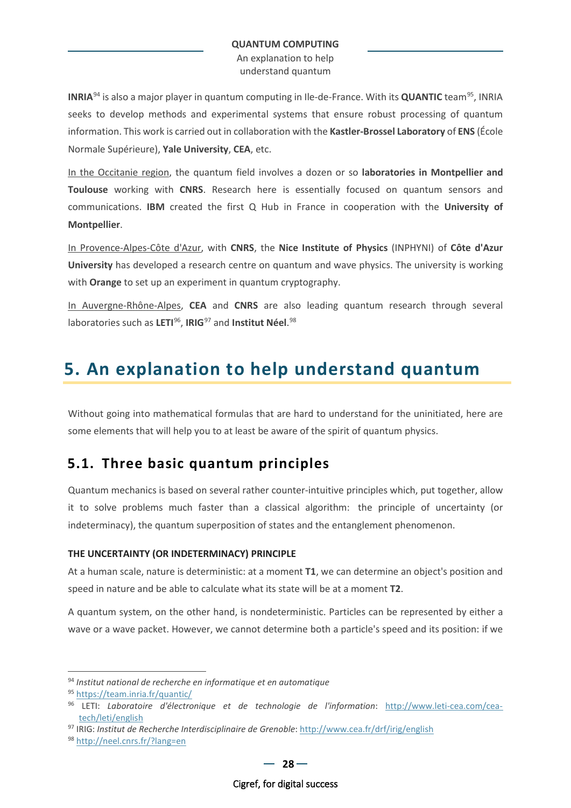An explanation to help understand quantum

**INRIA**[94](#page-27-3) is also a major player in quantum computing in Ile-de-France. With its **QUANTIC** team[95](#page-27-4), INRIA seeks to develop methods and experimental systems that ensure robust processing of quantum information. This work is carried out in collaboration with the **Kastler-Brossel Laboratory** of **ENS** (École Normale Supérieure), **Yale University**, **CEA**, etc.

In the Occitanie region, the quantum field involves a dozen or so **laboratories in Montpellier and Toulouse** working with **CNRS**. Research here is essentially focused on quantum sensors and communications. **IBM** created the first Q Hub in France in cooperation with the **University of Montpellier**.

In Provence-Alpes-Côte d'Azur, with **CNRS**, the **Nice Institute of Physics** (INPHYNI) of **Côte d'Azur University** has developed a research centre on quantum and wave physics. The university is working with **Orange** to set up an experiment in quantum cryptography.

In Auvergne-Rhône-Alpes, **CEA** and **CNRS** are also leading quantum research through several laboratories such as **LETI**[96](#page-27-5), **IRIG**[97](#page-27-6) and **Institut Néel**. [98](#page-27-7)

# <span id="page-27-0"></span>**5. An explanation to help understand quantum**

<span id="page-27-2"></span>Without going into mathematical formulas that are hard to understand for the uninitiated, here are some elements that will help you to at least be aware of the spirit of quantum physics.

### <span id="page-27-1"></span>**5.1. Three basic quantum principles**

Quantum mechanics is based on several rather counter-intuitive principles which, put together, allow it to solve problems much faster than a classical algorithm: the principle of uncertainty (or indeterminacy), the quantum superposition of states and the entanglement phenomenon.

### **THE UNCERTAINTY (OR INDETERMINACY) PRINCIPLE**

At a human scale, nature is deterministic: at a moment **T1**, we can determine an object's position and speed in nature and be able to calculate what its state will be at a moment **T2**.

A quantum system, on the other hand, is nondeterministic. Particles can be represented by either a wave or a wave packet. However, we cannot determine both a particle's speed and its position: if we

<span id="page-27-3"></span><sup>94</sup> *Institut national de recherche en informatique et en automatique*

<span id="page-27-4"></span><sup>95</sup> <https://team.inria.fr/quantic/>

<span id="page-27-5"></span><sup>96</sup> LETI: *Laboratoire d'électronique et de technologie de l'information*: [http://www.leti-cea.com/cea](http://www.leti-cea.com/cea-tech/leti/english)[tech/leti/english](http://www.leti-cea.com/cea-tech/leti/english)

<span id="page-27-6"></span><sup>97</sup> IRIG: *Institut de Recherche Interdisciplinaire de Grenoble*:<http://www.cea.fr/drf/irig/english>

<span id="page-27-7"></span><sup>98</sup> <http://neel.cnrs.fr/?lang=en>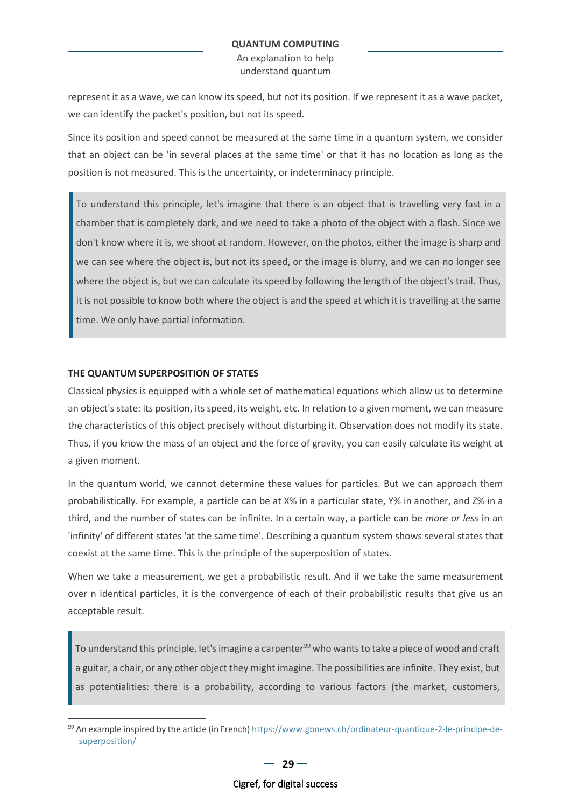An explanation to help understand quantum

represent it as a wave, we can know its speed, but not its position. If we represent it as a wave packet, we can identify the packet's position, but not its speed.

Since its position and speed cannot be measured at the same time in a quantum system, we consider that an object can be 'in several places at the same time' or that it has no location as long as the position is not measured. This is the uncertainty, or indeterminacy principle.

To understand this principle, let's imagine that there is an object that is travelling very fast in a chamber that is completely dark, and we need to take a photo of the object with a flash. Since we don't know where it is, we shoot at random. However, on the photos, either the image is sharp and we can see where the object is, but not its speed, or the image is blurry, and we can no longer see where the object is, but we can calculate its speed by following the length of the object's trail. Thus, it is not possible to know both where the object is and the speed at which it is travelling at the same time. We only have partial information.

### **THE QUANTUM SUPERPOSITION OF STATES**

Classical physics is equipped with a whole set of mathematical equations which allow us to determine an object's state: its position, its speed, its weight, etc. In relation to a given moment, we can measure the characteristics of this object precisely without disturbing it. Observation does not modify its state. Thus, if you know the mass of an object and the force of gravity, you can easily calculate its weight at a given moment.

In the quantum world, we cannot determine these values for particles. But we can approach them probabilistically. For example, a particle can be at X% in a particular state, Y% in another, and Z% in a third, and the number of states can be infinite. In a certain way, a particle can be *more or less* in an 'infinity' of different states 'at the same time'. Describing a quantum system shows several states that coexist at the same time. This is the principle of the superposition of states.

When we take a measurement, we get a probabilistic result. And if we take the same measurement over n identical particles, it is the convergence of each of their probabilistic results that give us an acceptable result.

To understand this principle, let's imagine a carpenter<sup>[99](#page-28-0)</sup> who wants to take a piece of wood and craft a guitar, a chair, or any other object they might imagine. The possibilities are infinite. They exist, but as potentialities: there is a probability, according to various factors (the market, customers,

<span id="page-28-0"></span><sup>99</sup> An example inspired by the article (in French) [https://www.gbnews.ch/ordinateur-quantique-2-le-principe-de](https://www.gbnews.ch/ordinateur-quantique-2-le-principe-de-superposition/)[superposition/](https://www.gbnews.ch/ordinateur-quantique-2-le-principe-de-superposition/)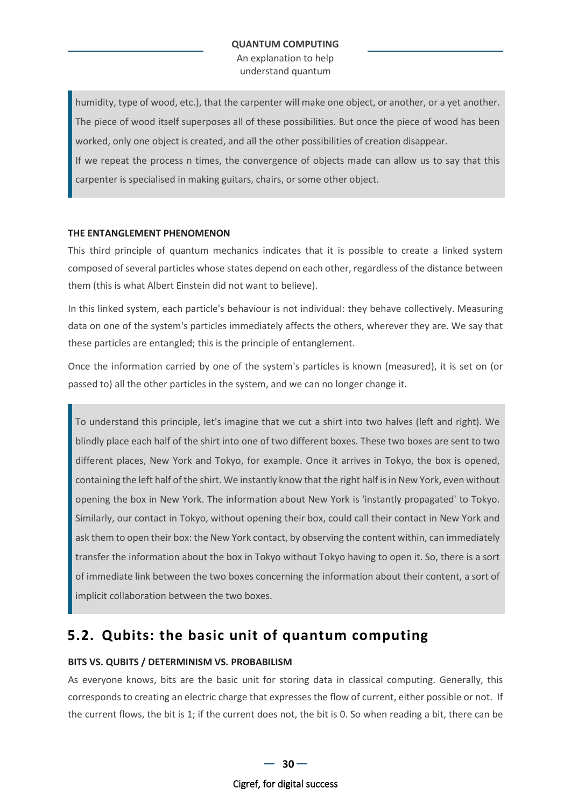An explanation to help understand quantum

humidity, type of wood, etc.), that the carpenter will make one object, or another, or a yet another. The piece of wood itself superposes all of these possibilities. But once the piece of wood has been worked, only one object is created, and all the other possibilities of creation disappear.

If we repeat the process n times, the convergence of objects made can allow us to say that this carpenter is specialised in making guitars, chairs, or some other object.

### **THE ENTANGLEMENT PHENOMENON**

This third principle of quantum mechanics indicates that it is possible to create a linked system composed of several particles whose states depend on each other, regardless of the distance between them (this is what Albert Einstein did not want to believe).

In this linked system, each particle's behaviour is not individual: they behave collectively. Measuring data on one of the system's particles immediately affects the others, wherever they are. We say that these particles are entangled; this is the principle of entanglement.

Once the information carried by one of the system's particles is known (measured), it is set on (or passed to) all the other particles in the system, and we can no longer change it.

To understand this principle, let's imagine that we cut a shirt into two halves (left and right). We blindly place each half of the shirt into one of two different boxes. These two boxes are sent to two different places, New York and Tokyo, for example. Once it arrives in Tokyo, the box is opened, containing the left half of the shirt. We instantly know that the right half is in New York, even without opening the box in New York. The information about New York is 'instantly propagated' to Tokyo. Similarly, our contact in Tokyo, without opening their box, could call their contact in New York and ask them to open their box: the New York contact, by observing the content within, can immediately transfer the information about the box in Tokyo without Tokyo having to open it. So, there is a sort of immediate link between the two boxes concerning the information about their content, a sort of implicit collaboration between the two boxes.

### <span id="page-29-0"></span>**5.2. Qubits: the basic unit of quantum computing**

### **BITS VS. QUBITS / DETERMINISM VS. PROBABILISM**

As everyone knows, bits are the basic unit for storing data in classical computing. Generally, this corresponds to creating an electric charge that expresses the flow of current, either possible or not. If the current flows, the bit is 1; if the current does not, the bit is 0. So when reading a bit, there can be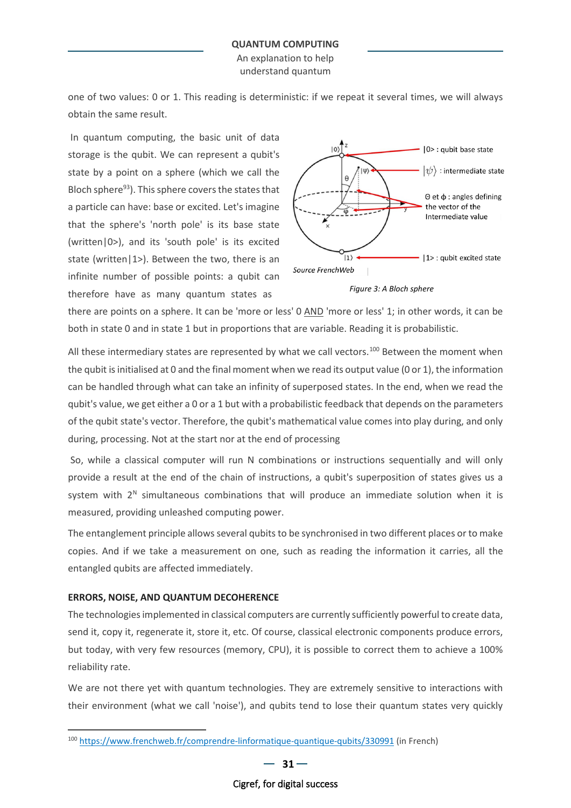An explanation to help understand quantum

one of two values: 0 or 1. This reading is deterministic: if we repeat it several times, we will always obtain the same result.

In quantum computing, the basic unit of data storage is the qubit. We can represent a qubit's state by a point on a sphere (which we call the Bloch sphere $93$ ). This sphere covers the states that a particle can have: base or excited. Let's imagine that the sphere's 'north pole' is its base state (written|0>), and its 'south pole' is its excited state (written|1>). Between the two, there is an infinite number of possible points: a qubit can therefore have as many quantum states as





there are points on a sphere. It can be 'more or less' 0 AND 'more or less' 1; in other words, it can be both in state 0 and in state 1 but in proportions that are variable. Reading it is probabilistic.

All these intermediary states are represented by what we call vectors.<sup>[100](#page-30-0)</sup> Between the moment when the qubit is initialised at 0 and the final moment when we read its output value (0 or 1), the information can be handled through what can take an infinity of superposed states. In the end, when we read the qubit's value, we get either a 0 or a 1 but with a probabilistic feedback that depends on the parameters of the qubit state's vector. Therefore, the qubit's mathematical value comes into play during, and only during, processing. Not at the start nor at the end of processing

So, while a classical computer will run N combinations or instructions sequentially and will only provide a result at the end of the chain of instructions, a qubit's superposition of states gives us a system with  $2^N$  simultaneous combinations that will produce an immediate solution when it is measured, providing unleashed computing power.

The entanglement principle allows several qubits to be synchronised in two different places or to make copies. And if we take a measurement on one, such as reading the information it carries, all the entangled qubits are affected immediately.

### **ERRORS, NOISE, AND QUANTUM DECOHERENCE**

The technologies implemented in classical computers are currently sufficiently powerful to create data, send it, copy it, regenerate it, store it, etc. Of course, classical electronic components produce errors, but today, with very few resources (memory, CPU), it is possible to correct them to achieve a 100% reliability rate.

We are not there yet with quantum technologies. They are extremely sensitive to interactions with their environment (what we call 'noise'), and qubits tend to lose their quantum states very quickly

<span id="page-30-0"></span><sup>100</sup> <https://www.frenchweb.fr/comprendre-linformatique-quantique-qubits/330991> (in French)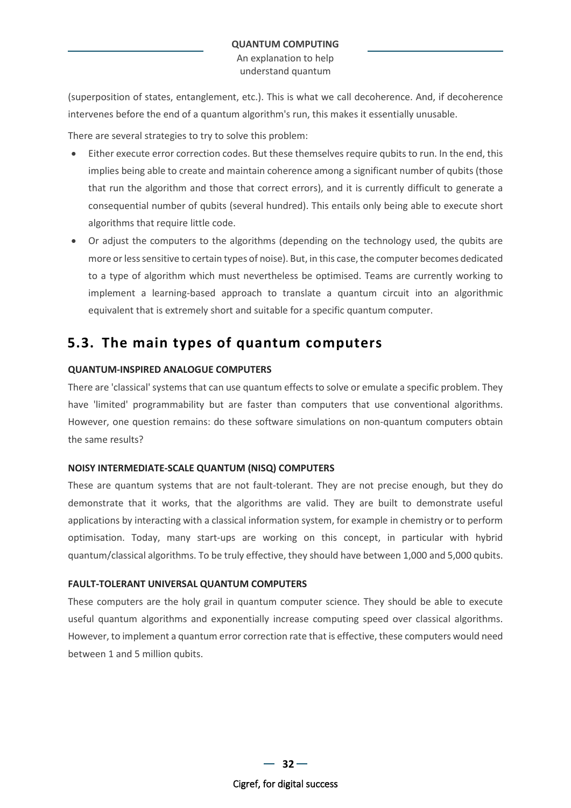An explanation to help understand quantum

(superposition of states, entanglement, etc.). This is what we call decoherence. And, if decoherence intervenes before the end of a quantum algorithm's run, this makes it essentially unusable.

There are several strategies to try to solve this problem:

- Either execute error correction codes. But these themselves require qubits to run. In the end, this implies being able to create and maintain coherence among a significant number of qubits (those that run the algorithm and those that correct errors), and it is currently difficult to generate a consequential number of qubits (several hundred). This entails only being able to execute short algorithms that require little code.
- Or adjust the computers to the algorithms (depending on the technology used, the qubits are more or less sensitive to certain types of noise). But, in this case, the computer becomes dedicated to a type of algorithm which must nevertheless be optimised. Teams are currently working to implement a learning-based approach to translate a quantum circuit into an algorithmic equivalent that is extremely short and suitable for a specific quantum computer.

### <span id="page-31-0"></span>**5.3. The main types of quantum computers**

### **QUANTUM-INSPIRED ANALOGUE COMPUTERS**

There are 'classical' systems that can use quantum effects to solve or emulate a specific problem. They have 'limited' programmability but are faster than computers that use conventional algorithms. However, one question remains: do these software simulations on non-quantum computers obtain the same results?

### **NOISY INTERMEDIATE-SCALE QUANTUM (NISQ) COMPUTERS**

These are quantum systems that are not fault-tolerant. They are not precise enough, but they do demonstrate that it works, that the algorithms are valid. They are built to demonstrate useful applications by interacting with a classical information system, for example in chemistry or to perform optimisation. Today, many start-ups are working on this concept, in particular with hybrid quantum/classical algorithms. To be truly effective, they should have between 1,000 and 5,000 qubits.

### **FAULT-TOLERANT UNIVERSAL QUANTUM COMPUTERS**

These computers are the holy grail in quantum computer science. They should be able to execute useful quantum algorithms and exponentially increase computing speed over classical algorithms. However, to implement a quantum error correction rate that is effective, these computers would need between 1 and 5 million qubits.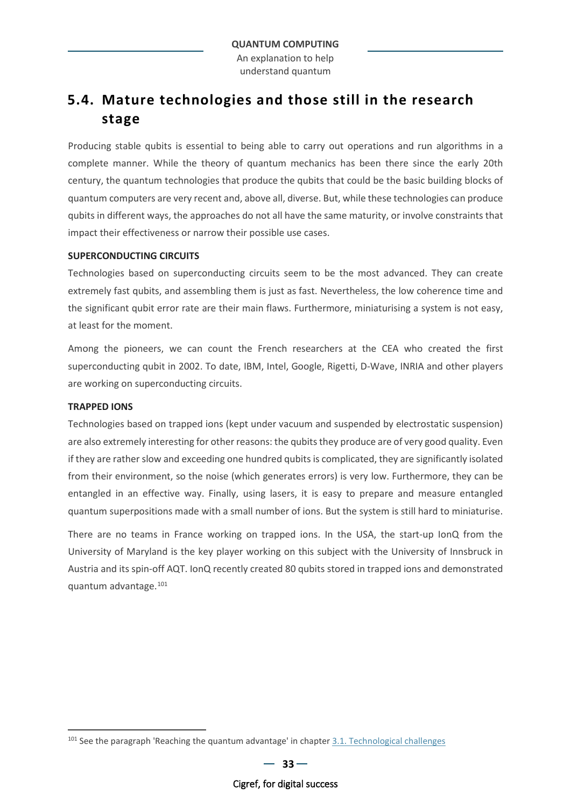## <span id="page-32-0"></span>**5.4. Mature technologies and those still in the research stage**

Producing stable qubits is essential to being able to carry out operations and run algorithms in a complete manner. While the theory of quantum mechanics has been there since the early 20th century, the quantum technologies that produce the qubits that could be the basic building blocks of quantum computers are very recent and, above all, diverse. But, while these technologies can produce qubits in different ways, the approaches do not all have the same maturity, or involve constraints that impact their effectiveness or narrow their possible use cases.

### **SUPERCONDUCTING CIRCUITS**

Technologies based on superconducting circuits seem to be the most advanced. They can create extremely fast qubits, and assembling them is just as fast. Nevertheless, the low coherence time and the significant qubit error rate are their main flaws. Furthermore, miniaturising a system is not easy, at least for the moment.

Among the pioneers, we can count the French researchers at the CEA who created the first superconducting qubit in 2002. To date, IBM, Intel, Google, Rigetti, D-Wave, INRIA and other players are working on superconducting circuits.

#### **TRAPPED IONS**

Technologies based on trapped ions (kept under vacuum and suspended by electrostatic suspension) are also extremely interesting for other reasons: the qubits they produce are of very good quality. Even if they are rather slow and exceeding one hundred qubits is complicated, they are significantly isolated from their environment, so the noise (which generates errors) is very low. Furthermore, they can be entangled in an effective way. Finally, using lasers, it is easy to prepare and measure entangled quantum superpositions made with a small number of ions. But the system is still hard to miniaturise.

There are no teams in France working on trapped ions. In the USA, the start-up IonQ from the University of Maryland is the key player working on this subject with the University of Innsbruck in Austria and its spin-off AQT. IonQ recently created 80 qubits stored in trapped ions and demonstrated quantum advantage.[101](#page-32-1)

<span id="page-32-1"></span><sup>&</sup>lt;sup>101</sup> See the paragraph 'Reaching the quantum advantage' in chapte[r 3.1.](#page-10-1) [Technological challenges](#page-10-1)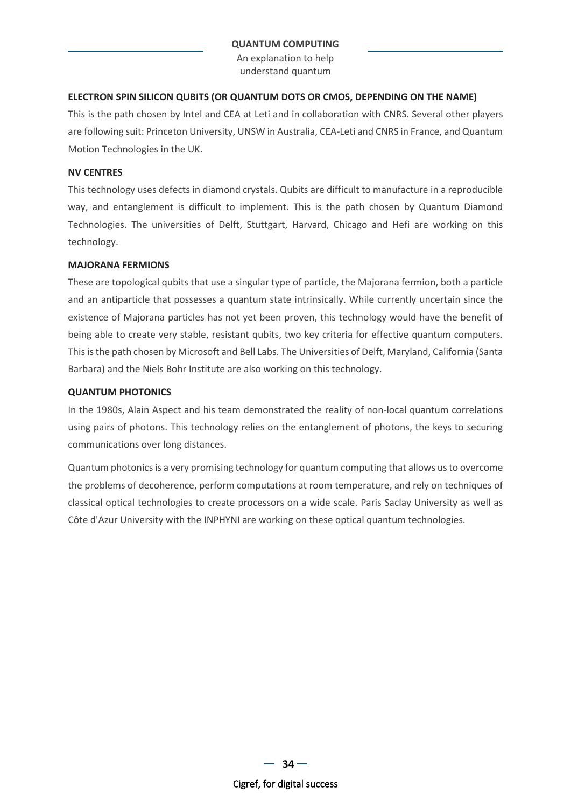An explanation to help understand quantum

### **ELECTRON SPIN SILICON QUBITS (OR QUANTUM DOTS OR CMOS, DEPENDING ON THE NAME)**

This is the path chosen by Intel and CEA at Leti and in collaboration with CNRS. Several other players are following suit: Princeton University, UNSW in Australia, CEA-Leti and CNRS in France, and Quantum Motion Technologies in the UK.

### **NV CENTRES**

This technology uses defects in diamond crystals. Qubits are difficult to manufacture in a reproducible way, and entanglement is difficult to implement. This is the path chosen by Quantum Diamond Technologies. The universities of Delft, Stuttgart, Harvard, Chicago and Hefi are working on this technology.

### **MAJORANA FERMIONS**

These are topological qubits that use a singular type of particle, the Majorana fermion, both a particle and an antiparticle that possesses a quantum state intrinsically. While currently uncertain since the existence of Majorana particles has not yet been proven, this technology would have the benefit of being able to create very stable, resistant qubits, two key criteria for effective quantum computers. This is the path chosen by Microsoft and Bell Labs. The Universities of Delft, Maryland, California (Santa Barbara) and the Niels Bohr Institute are also working on this technology.

### **QUANTUM PHOTONICS**

In the 1980s, Alain Aspect and his team demonstrated the reality of non-local quantum correlations using pairs of photons. This technology relies on the entanglement of photons, the keys to securing communications over long distances.

Quantum photonics is a very promising technology for quantum computing that allows us to overcome the problems of decoherence, perform computations at room temperature, and rely on techniques of classical optical technologies to create processors on a wide scale. Paris Saclay University as well as Côte d'Azur University with the INPHYNI are working on these optical quantum technologies.

 $-34-$